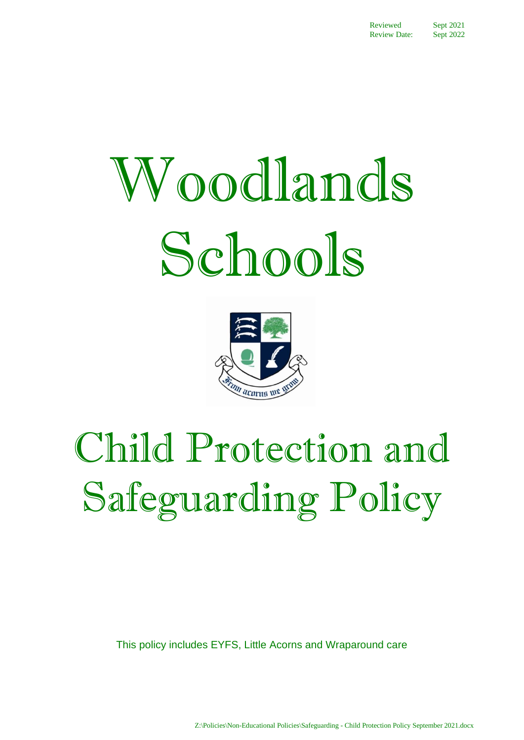# Woodlands Schools



# Child Protection and Safeguarding Policy

This policy includes EYFS, Little Acorns and Wraparound care

Z:\Policies\Non-Educational Policies\Safeguarding - Child Protection Policy September 2021.docx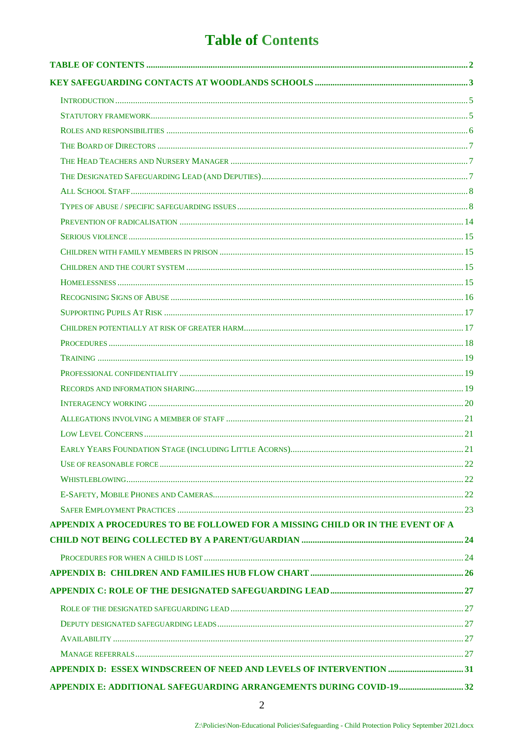# **Table of Contents**

<span id="page-1-0"></span>

| APPENDIX A PROCEDURES TO BE FOLLOWED FOR A MISSING CHILD OR IN THE EVENT OF A |  |
|-------------------------------------------------------------------------------|--|
|                                                                               |  |
|                                                                               |  |
|                                                                               |  |
|                                                                               |  |
|                                                                               |  |
|                                                                               |  |
|                                                                               |  |
|                                                                               |  |
|                                                                               |  |
| APPENDIX E: ADDITIONAL SAFEGUARDING ARRANGEMENTS DURING COVID-1932            |  |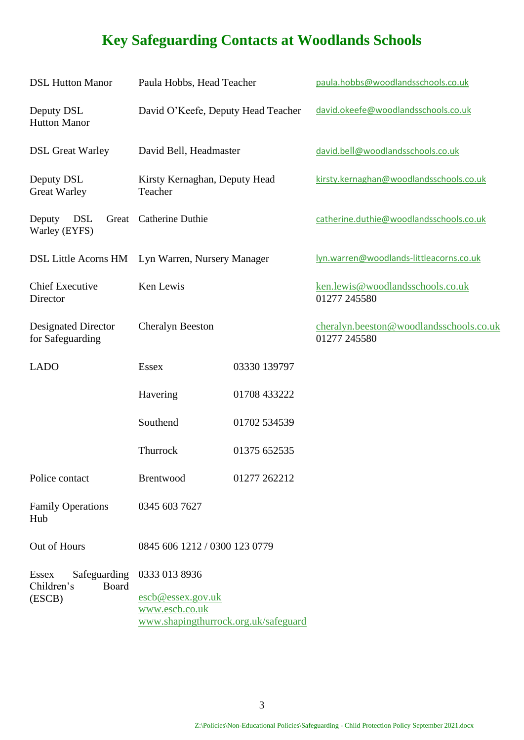# <span id="page-2-0"></span>**Key Safeguarding Contacts at Woodlands Schools**

| <b>DSL Hutton Manor</b>                             | Paula Hobbs, Head Teacher                                                   |              | paula.hobbs@woodlandsschools.co.uk                      |
|-----------------------------------------------------|-----------------------------------------------------------------------------|--------------|---------------------------------------------------------|
| Deputy DSL<br><b>Hutton Manor</b>                   | David O'Keefe, Deputy Head Teacher                                          |              | david.okeefe@woodlandsschools.co.uk                     |
| <b>DSL Great Warley</b>                             | David Bell, Headmaster                                                      |              | david.bell@woodlandsschools.co.uk                       |
| Deputy DSL<br><b>Great Warley</b>                   | Kirsty Kernaghan, Deputy Head<br>Teacher                                    |              | kirsty.kernaghan@woodlandsschools.co.uk                 |
| <b>DSL</b><br>Deputy<br>Great<br>Warley (EYFS)      | Catherine Duthie                                                            |              | catherine.duthie@woodlandsschools.co.uk                 |
|                                                     | DSL Little Acorns HM Lyn Warren, Nursery Manager                            |              | lyn.warren@woodlands-littleacorns.co.uk                 |
| <b>Chief Executive</b><br>Director                  | Ken Lewis                                                                   |              | ken.lewis@woodlandsschools.co.uk<br>01277 245580        |
| <b>Designated Director</b><br>for Safeguarding      | <b>Cheralyn Beeston</b>                                                     |              | cheralyn.beeston@woodlandsschools.co.uk<br>01277 245580 |
| <b>LADO</b>                                         | <b>Essex</b>                                                                | 03330 139797 |                                                         |
|                                                     | Havering                                                                    | 01708 433222 |                                                         |
|                                                     | Southend                                                                    | 01702 534539 |                                                         |
|                                                     | Thurrock                                                                    | 01375 652535 |                                                         |
| Police contact                                      | Brentwood                                                                   | 01277 262212 |                                                         |
| <b>Family Operations</b><br>Hub                     | 0345 603 7627                                                               |              |                                                         |
| Out of Hours                                        | 0845 606 1212 / 0300 123 0779                                               |              |                                                         |
| Safeguarding<br><b>Essex</b><br>Children's<br>Board | 0333 013 8936                                                               |              |                                                         |
| (ESCB)                                              | escb@essex.gov.uk<br>www.escb.co.uk<br>www.shapingthurrock.org.uk/safeguard |              |                                                         |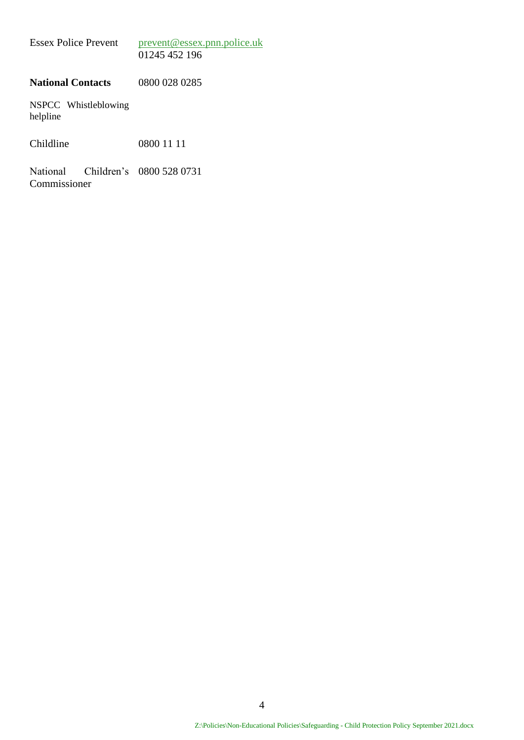| <b>Essex Police Prevent</b> | prevent@essex.pnn.police.uk |
|-----------------------------|-----------------------------|
|                             | 01245 452 196               |

#### **National Contacts** 0800 028 0285

NSPCC Whistleblowing helpline

Childline 0800 11 11

National Children's 0800 528 0731Commissioner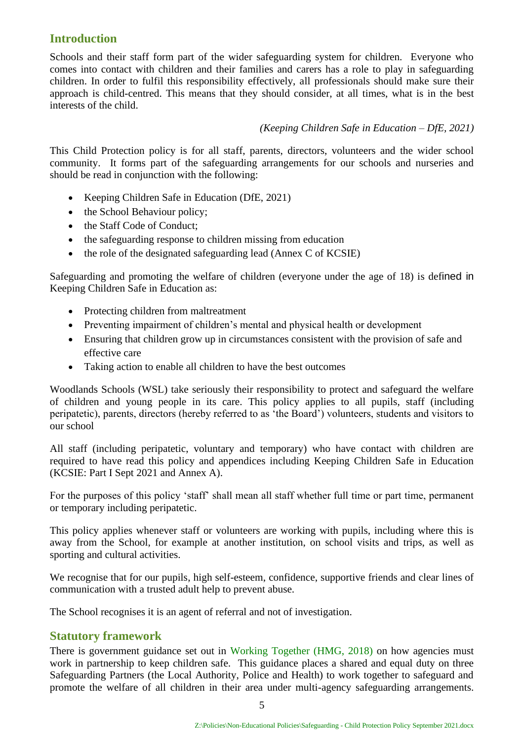#### <span id="page-4-0"></span>**Introduction**

Schools and their staff form part of the wider safeguarding system for children. Everyone who comes into contact with children and their families and carers has a role to play in safeguarding children. In order to fulfil this responsibility effectively, all professionals should make sure their approach is child-centred. This means that they should consider, at all times, what is in the best interests of the child.

#### *(Keeping Children Safe in Education – DfE, 2021)*

This Child Protection policy is for all staff, parents, directors, volunteers and the wider school community. It forms part of the safeguarding arrangements for our schools and nurseries and should be read in conjunction with the following:

- Keeping Children Safe in Education (DfE, 2021)
- the School Behaviour policy;
- the Staff Code of Conduct;
- the safeguarding response to children missing from education
- the role of the designated safeguarding lead (Annex C of KCSIE)

Safeguarding and promoting the welfare of children (everyone under the age of 18) is defined in Keeping Children Safe in Education as:

- Protecting children from maltreatment
- Preventing impairment of children's mental and physical health or development
- Ensuring that children grow up in circumstances consistent with the provision of safe and effective care
- Taking action to enable all children to have the best outcomes

Woodlands Schools (WSL) take seriously their responsibility to protect and safeguard the welfare of children and young people in its care. This policy applies to all pupils, staff (including peripatetic), parents, directors (hereby referred to as 'the Board') volunteers, students and visitors to our school

All staff (including peripatetic, voluntary and temporary) who have contact with children are required to have read this policy and appendices including Keeping Children Safe in Education (KCSIE: Part I Sept 2021 and Annex A).

For the purposes of this policy 'staff' shall mean all staff whether full time or part time, permanent or temporary including peripatetic.

This policy applies whenever staff or volunteers are working with pupils, including where this is away from the School, for example at another institution, on school visits and trips, as well as sporting and cultural activities.

We recognise that for our pupils, high self-esteem, confidence, supportive friends and clear lines of communication with a trusted adult help to prevent abuse.

The School recognises it is an agent of referral and not of investigation.

#### <span id="page-4-1"></span>**Statutory framework**

There is government guidance set out in [Working Together \(HMG, 2018\)](https://assets.publishing.service.gov.uk/government/uploads/system/uploads/attachment_data/file/729914/Working_Together_to_Safeguard_Children-2018.pdf) on how agencies must work in partnership to keep children safe. This guidance places a shared and equal duty on three Safeguarding Partners (the Local Authority, Police and Health) to work together to safeguard and promote the welfare of all children in their area under multi-agency safeguarding arrangements.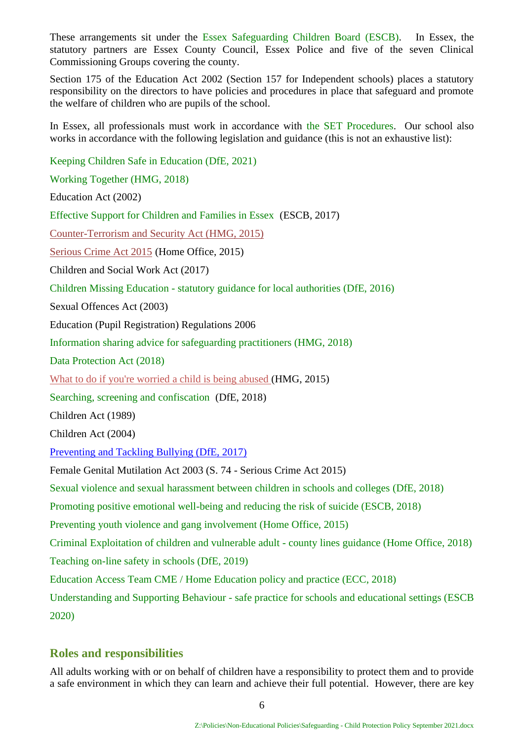These arrangements sit under the [Essex Safeguarding Children Board](http://www.escb.co.uk/Home.aspx) (ESCB). In Essex, the statutory partners are Essex County Council, Essex Police and five of the seven Clinical Commissioning Groups covering the county.

Section 175 of the Education Act 2002 (Section 157 for Independent schools) places a statutory responsibility on the directors to have policies and procedures in place that safeguard and promote the welfare of children who are pupils of the school.

In Essex, all professionals must work in accordance with the [SET Procedures.](http://www.escb.co.uk/) Our school also works in accordance with the following legislation and guidance (this is not an exhaustive list):

[Keeping Children Safe in Education \(DfE, 2021\)](https://assets.publishing.service.gov.uk/government/uploads/system/uploads/attachment_data/file/892394/Keeping_children_safe_in_education_2020.pdf)

[Working Together \(HMG, 2018\)](https://assets.publishing.service.gov.uk/government/uploads/system/uploads/attachment_data/file/729914/Working_Together_to_Safeguard_Children-2018.pdf)

Education Act (2002)

[Effective Support for Children and Families in Essex](http://www.escb.co.uk/Portals/67/Documents/professionals/EffectiveSupportBooklet2017v5-FINAL.pdf) (ESCB, 2017)

[Counter-Terrorism and Security Act \(HMG, 2015\)](http://www.legislation.gov.uk/ukpga/2015/6/contents)

[Serious Crime Act 2015](https://www.gov.uk/government/collections/serious-crime-bill) (Home Office, 2015)

Children and Social Work Act (2017)

Children Missing Education - [statutory guidance for local authorities \(DfE, 2016\)](https://assets.publishing.service.gov.uk/government/uploads/system/uploads/attachment_data/file/550416/Children_Missing_Education_-_statutory_guidance.pdf)

Sexual Offences Act (2003)

Education (Pupil Registration) Regulations 2006

[Information sharing advice for safeguarding practitioners \(HMG, 2018\)](https://assets.publishing.service.gov.uk/government/uploads/system/uploads/attachment_data/file/721581/Information_sharing_advice_practitioners_safeguarding_services.pdf)

[Data Protection Act \(2018\)](http://www.legislation.gov.uk/ukpga/2018/12/pdfs/ukpga_20180012_en.pdf) 

[What to do if you're worried a child is being abused \(](https://www.gov.uk/government/uploads/system/uploads/attachment_data/file/419604/What_to_do_if_you_re_worried_a_child_is_being_abused.pdf)HMG, 2015)

[Searching, screening and confiscation](https://assets.publishing.service.gov.uk/government/uploads/system/uploads/attachment_data/file/674416/Searching_screening_and_confiscation.pdf) (DfE, 2018)

Children Act (1989)

Children Act (2004)

[Preventing and Tackling Bullying \(DfE, 2017\)](https://www.gov.uk/government/uploads/system/uploads/attachment_data/file/623895/Preventing_and_tackling_bullying_advice.pdf)

Female Genital Mutilation Act 2003 (S. 74 - Serious Crime Act 2015)

[Sexual violence and sexual harassment between children in schools and colleges \(](https://www.gov.uk/government/uploads/system/uploads/attachment_data/file/667862/Sexual_Harassment_and_Sexual_Violence_-_Advice.pdf)DfE, 2018)

[Promoting positive emotional well-being and reducing the risk of suicide \(ESCB, 2018\)](https://schools.essex.gov.uk/pupils/Safeguarding/Emotional_Wellbeing_and_Mental_Health/Documents/Promoting%20Positive%20Emotional%20Well-being%20and%20Reducing%20the%20Risk%20of%20Suicide%20-%20Autumn%202018.pdf)

[Preventing youth violence and gang](https://assets.publishing.service.gov.uk/government/uploads/system/uploads/attachment_data/file/418131/Preventing_youth_violence_and_gang_involvement_v3_March2015.pdf) involvement (Home Office, 2015)

[Criminal Exploitation of children and vulnerable adult -](https://assets.publishing.service.gov.uk/government/uploads/system/uploads/attachment_data/file/741194/HOCountyLinesGuidanceSept2018.pdf) county lines guidance (Home Office, 2018)

[Teaching on-line safety in schools \(DfE, 2019\)](https://assets.publishing.service.gov.uk/government/uploads/system/uploads/attachment_data/file/811796/Teaching_online_safety_in_school.pdf)

[Education Access Team CME / Home Education policy and practice \(ECC, 2018\)](https://schools.essex.gov.uk/pupils/Education_Access/Documents/Education%20Access%20-%20CME%20and%20EHE%20Team%20-%20Policy%20and%20Practice%20Guidance%20document.pdf)

Understanding and Supporting Behaviour - [safe practice for schools and educational settings \(ESCB](https://schools.essex.gov.uk/pupils/Safeguarding/Documents/Understanding%20and%20Supporting%20Behaviour%20-%20Safe%20Practice%20for%20Schools%20-%20Summer%202020.pdf)  [2020\)](https://schools.essex.gov.uk/pupils/Safeguarding/Documents/Understanding%20and%20Supporting%20Behaviour%20-%20Safe%20Practice%20for%20Schools%20-%20Summer%202020.pdf)

#### <span id="page-5-0"></span>**Roles and responsibilities**

All adults working with or on behalf of children have a responsibility to protect them and to provide a safe environment in which they can learn and achieve their full potential. However, there are key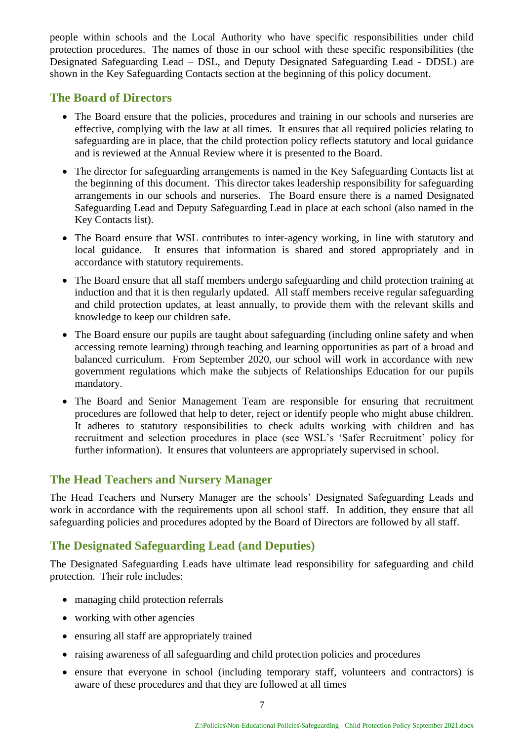people within schools and the Local Authority who have specific responsibilities under child protection procedures. The names of those in our school with these specific responsibilities (the Designated Safeguarding Lead – DSL, and Deputy Designated Safeguarding Lead - DDSL) are shown in the Key Safeguarding Contacts section at the beginning of this policy document.

#### <span id="page-6-0"></span>**The Board of Directors**

- The Board ensure that the policies, procedures and training in our schools and nurseries are effective, complying with the law at all times. It ensures that all required policies relating to safeguarding are in place, that the child protection policy reflects statutory and local guidance and is reviewed at the Annual Review where it is presented to the Board.
- The director for safeguarding arrangements is named in the Key Safeguarding Contacts list at the beginning of this document. This director takes leadership responsibility for safeguarding arrangements in our schools and nurseries. The Board ensure there is a named Designated Safeguarding Lead and Deputy Safeguarding Lead in place at each school (also named in the Key Contacts list).
- The Board ensure that WSL contributes to inter-agency working, in line with statutory and local guidance. It ensures that information is shared and stored appropriately and in accordance with statutory requirements.
- The Board ensure that all staff members undergo safeguarding and child protection training at induction and that it is then regularly updated. All staff members receive regular safeguarding and child protection updates, at least annually, to provide them with the relevant skills and knowledge to keep our children safe.
- The Board ensure our pupils are taught about safeguarding (including online safety and when accessing remote learning) through teaching and learning opportunities as part of a broad and balanced curriculum. From September 2020, our school will work in accordance with new government regulations which make the subjects of Relationships Education for our pupils mandatory.
- The Board and Senior Management Team are responsible for ensuring that recruitment procedures are followed that help to deter, reject or identify people who might abuse children. It adheres to statutory responsibilities to check adults working with children and has recruitment and selection procedures in place (see WSL's 'Safer Recruitment' policy for further information). It ensures that volunteers are appropriately supervised in school.

#### <span id="page-6-1"></span>**The Head Teachers and Nursery Manager**

The Head Teachers and Nursery Manager are the schools' Designated Safeguarding Leads and work in accordance with the requirements upon all school staff. In addition, they ensure that all safeguarding policies and procedures adopted by the Board of Directors are followed by all staff.

#### <span id="page-6-2"></span>**The Designated Safeguarding Lead (and Deputies)**

The Designated Safeguarding Leads have ultimate lead responsibility for safeguarding and child protection. Their role includes:

- managing child protection referrals
- working with other agencies
- ensuring all staff are appropriately trained
- raising awareness of all safeguarding and child protection policies and procedures
- ensure that everyone in school (including temporary staff, volunteers and contractors) is aware of these procedures and that they are followed at all times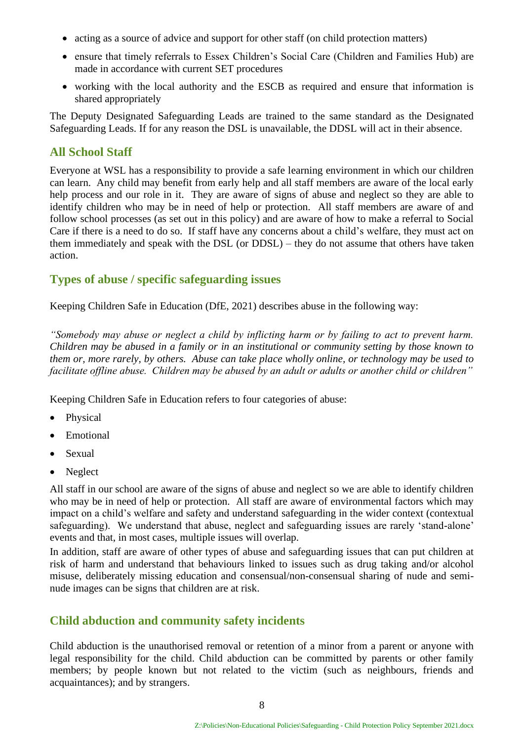- acting as a source of advice and support for other staff (on child protection matters)
- ensure that timely referrals to Essex Children's Social Care (Children and Families Hub) are made in accordance with current SET procedures
- working with the local authority and the ESCB as required and ensure that information is shared appropriately

The Deputy Designated Safeguarding Leads are trained to the same standard as the Designated Safeguarding Leads. If for any reason the DSL is unavailable, the DDSL will act in their absence.

#### <span id="page-7-0"></span>**All School Staff**

Everyone at WSL has a responsibility to provide a safe learning environment in which our children can learn. Any child may benefit from early help and all staff members are aware of the local early help process and our role in it. They are aware of signs of abuse and neglect so they are able to identify children who may be in need of help or protection. All staff members are aware of and follow school processes (as set out in this policy) and are aware of how to make a referral to Social Care if there is a need to do so. If staff have any concerns about a child's welfare, they must act on them immediately and speak with the DSL (or DDSL) – they do not assume that others have taken action.

#### <span id="page-7-1"></span>**Types of abuse / specific safeguarding issues**

Keeping Children Safe in Education (DfE, 2021) describes abuse in the following way:

*"Somebody may abuse or neglect a child by inflicting harm or by failing to act to prevent harm. Children may be abused in a family or in an institutional or community setting by those known to them or, more rarely, by others. Abuse can take place wholly online, or technology may be used to facilitate offline abuse. Children may be abused by an adult or adults or another child or children"*

Keeping Children Safe in Education refers to four categories of abuse:

- **Physical**
- Emotional
- Sexual
- Neglect

All staff in our school are aware of the signs of abuse and neglect so we are able to identify children who may be in need of help or protection. All staff are aware of environmental factors which may impact on a child's welfare and safety and understand safeguarding in the wider context (contextual safeguarding). We understand that abuse, neglect and safeguarding issues are rarely 'stand-alone' events and that, in most cases, multiple issues will overlap.

In addition, staff are aware of other types of abuse and safeguarding issues that can put children at risk of harm and understand that behaviours linked to issues such as drug taking and/or alcohol misuse, deliberately missing education and consensual/non-consensual sharing of nude and seminude images can be signs that children are at risk.

#### **Child abduction and community safety incidents**

Child abduction is the unauthorised removal or retention of a minor from a parent or anyone with legal responsibility for the child. Child abduction can be committed by parents or other family members; by people known but not related to the victim (such as neighbours, friends and acquaintances); and by strangers.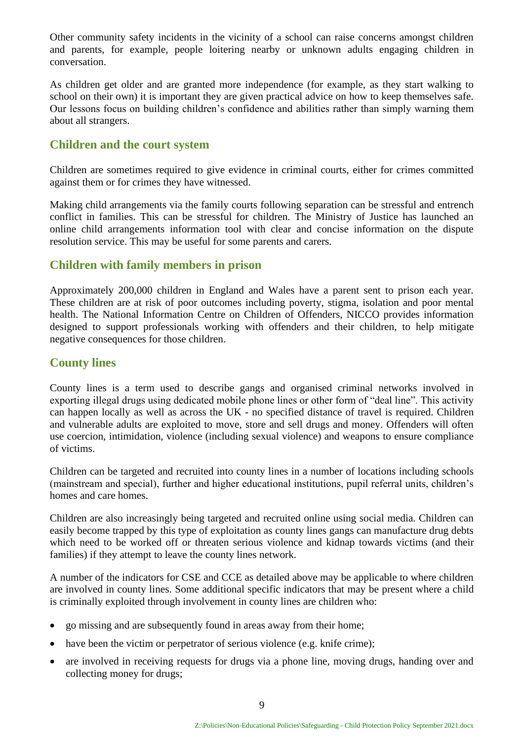Other community safety incidents in the vicinity of a school can raise concerns amongst children and parents, for example, people loitering nearby or unknown adults engaging children in conversation.

As children get older and are granted more independence (for example, as they start walking to school on their own) it is important they are given practical advice on how to keep themselves safe. Our lessons focus on building children's confidence and abilities rather than simply warning them about all strangers.

#### **Children and the court system**

Children are sometimes required to give evidence in criminal courts, either for crimes committed against them or for crimes they have witnessed.

Making child arrangements via the family courts following separation can be stressful and entrench conflict in families. This can be stressful for children. The Ministry of Justice has launched an online child arrangements information tool with clear and concise information on the dispute resolution service. This may be useful for some parents and carers.

#### **Children with family members in prison**

Approximately 200,000 children in England and Wales have a parent sent to prison each year. These children are at risk of poor outcomes including poverty, stigma, isolation and poor mental health. The National Information Centre on Children of Offenders, NICCO provides information designed to support professionals working with offenders and their children, to help mitigate negative consequences for those children.

#### **County lines**

County lines is a term used to describe gangs and organised criminal networks involved in exporting illegal drugs using dedicated mobile phone lines or other form of "deal line". This activity can happen locally as well as across the UK - no specified distance of travel is required. Children and vulnerable adults are exploited to move, store and sell drugs and money. Offenders will often use coercion, intimidation, violence (including sexual violence) and weapons to ensure compliance of victims.

Children can be targeted and recruited into county lines in a number of locations including schools (mainstream and special), further and higher educational institutions, pupil referral units, children's homes and care homes.

Children are also increasingly being targeted and recruited online using social media. Children can easily become trapped by this type of exploitation as county lines gangs can manufacture drug debts which need to be worked off or threaten serious violence and kidnap towards victims (and their families) if they attempt to leave the county lines network.

A number of the indicators for CSE and CCE as detailed above may be applicable to where children are involved in county lines. Some additional specific indicators that may be present where a child is criminally exploited through involvement in county lines are children who:

- go missing and are subsequently found in areas away from their home;
- have been the victim or perpetrator of serious violence (e.g. knife crime);
- are involved in receiving requests for drugs via a phone line, moving drugs, handing over and collecting money for drugs;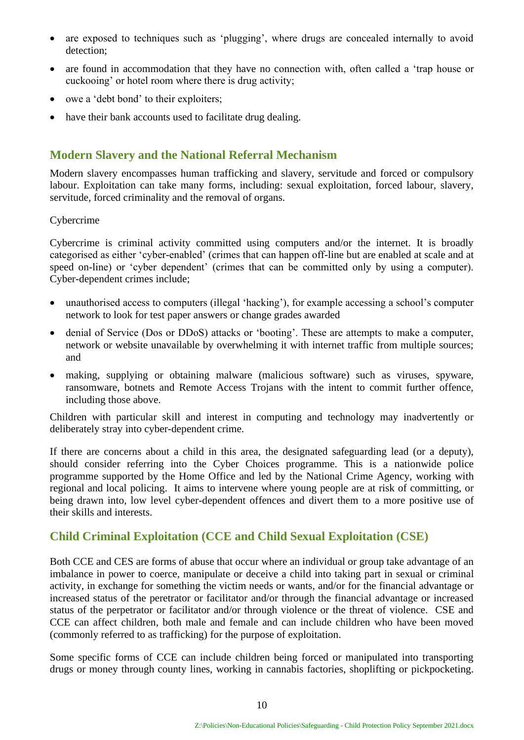- are exposed to techniques such as 'plugging', where drugs are concealed internally to avoid detection;
- are found in accommodation that they have no connection with, often called a 'trap house or cuckooing' or hotel room where there is drug activity;
- owe a 'debt bond' to their exploiters;
- have their bank accounts used to facilitate drug dealing.

#### **Modern Slavery and the National Referral Mechanism**

Modern slavery encompasses human trafficking and slavery, servitude and forced or compulsory labour. Exploitation can take many forms, including: sexual exploitation, forced labour, slavery, servitude, forced criminality and the removal of organs.

#### Cybercrime

Cybercrime is criminal activity committed using computers and/or the internet. It is broadly categorised as either 'cyber-enabled' (crimes that can happen off-line but are enabled at scale and at speed on-line) or 'cyber dependent' (crimes that can be committed only by using a computer). Cyber-dependent crimes include;

- unauthorised access to computers (illegal 'hacking'), for example accessing a school's computer network to look for test paper answers or change grades awarded
- denial of Service (Dos or DDoS) attacks or 'booting'. These are attempts to make a computer, network or website unavailable by overwhelming it with internet traffic from multiple sources; and
- making, supplying or obtaining malware (malicious software) such as viruses, spyware, ransomware, botnets and Remote Access Trojans with the intent to commit further offence, including those above.

Children with particular skill and interest in computing and technology may inadvertently or deliberately stray into cyber-dependent crime.

If there are concerns about a child in this area, the designated safeguarding lead (or a deputy), should consider referring into the Cyber Choices programme. This is a nationwide police programme supported by the Home Office and led by the National Crime Agency, working with regional and local policing. It aims to intervene where young people are at risk of committing, or being drawn into, low level cyber-dependent offences and divert them to a more positive use of their skills and interests.

#### **Child Criminal Exploitation (CCE and Child Sexual Exploitation (CSE)**

Both CCE and CES are forms of abuse that occur where an individual or group take advantage of an imbalance in power to coerce, manipulate or deceive a child into taking part in sexual or criminal activity, in exchange for something the victim needs or wants, and/or for the financial advantage or increased status of the peretrator or facilitator and/or through the financial advantage or increased status of the perpetrator or facilitator and/or through violence or the threat of violence. CSE and CCE can affect children, both male and female and can include children who have been moved (commonly referred to as trafficking) for the purpose of exploitation.

Some specific forms of CCE can include children being forced or manipulated into transporting drugs or money through county lines, working in cannabis factories, shoplifting or pickpocketing.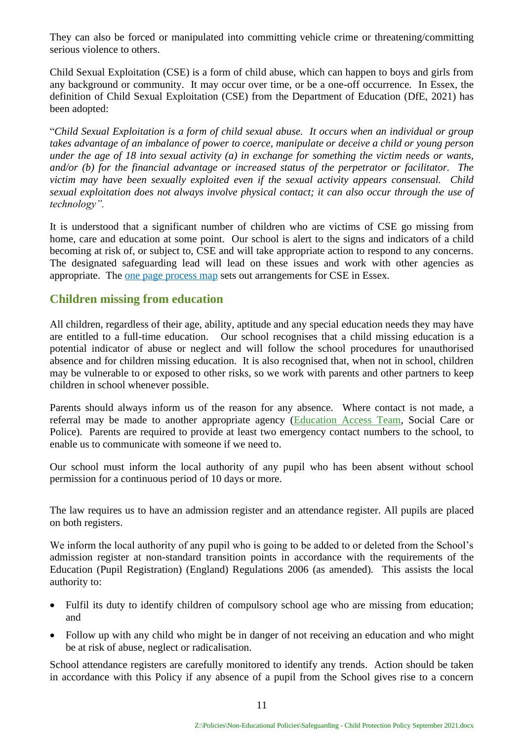They can also be forced or manipulated into committing vehicle crime or threatening/committing serious violence to others.

Child Sexual Exploitation (CSE) is a form of child abuse, which can happen to boys and girls from any background or community. It may occur over time, or be a one-off occurrence. In Essex, the definition of Child Sexual Exploitation (CSE) from the Department of Education (DfE, 2021) has been adopted:

"*Child Sexual Exploitation is a form of child sexual abuse. It occurs when an individual or group takes advantage of an imbalance of power to coerce, manipulate or deceive a child or young person under the age of 18 into sexual activity (a) in exchange for something the victim needs or wants, and/or (b) for the financial advantage or increased status of the perpetrator or facilitator. The victim may have been sexually exploited even if the sexual activity appears consensual. Child sexual exploitation does not always involve physical contact; it can also occur through the use of technology".*

It is understood that a significant number of children who are victims of CSE go missing from home, care and education at some point. Our school is alert to the signs and indicators of a child becoming at risk of, or subject to, CSE and will take appropriate action to respond to any concerns. The designated safeguarding lead will lead on these issues and work with other agencies as appropriate. The one page process map sets out arrangements for CSE in Essex.

#### **Children missing from education**

All children, regardless of their age, ability, aptitude and any special education needs they may have are entitled to a full-time education. Our school recognises that a child missing education is a potential indicator of abuse or neglect and will follow the school procedures for unauthorised absence and for children missing education. It is also recognised that, when not in school, children may be vulnerable to or exposed to other risks, so we work with parents and other partners to keep children in school whenever possible.

Parents should always inform us of the reason for any absence. Where contact is not made, a referral may be made to another appropriate agency [\(Education Access Team,](https://schools.essex.gov.uk/pupils/Education_Access/Pages/default.aspx) Social Care or Police). Parents are required to provide at least two emergency contact numbers to the school, to enable us to communicate with someone if we need to.

Our school must inform the local authority of any pupil who has been absent without school permission for a continuous period of 10 days or more.

The law requires us to have an admission register and an attendance register. All pupils are placed on both registers.

We inform the local authority of any pupil who is going to be added to or deleted from the School's admission register at non-standard transition points in accordance with the requirements of the Education (Pupil Registration) (England) Regulations 2006 (as amended). This assists the local authority to:

- Fulfil its duty to identify children of compulsory school age who are missing from education; and
- Follow up with any child who might be in danger of not receiving an education and who might be at risk of abuse, neglect or radicalisation.

School attendance registers are carefully monitored to identify any trends. Action should be taken in accordance with this Policy if any absence of a pupil from the School gives rise to a concern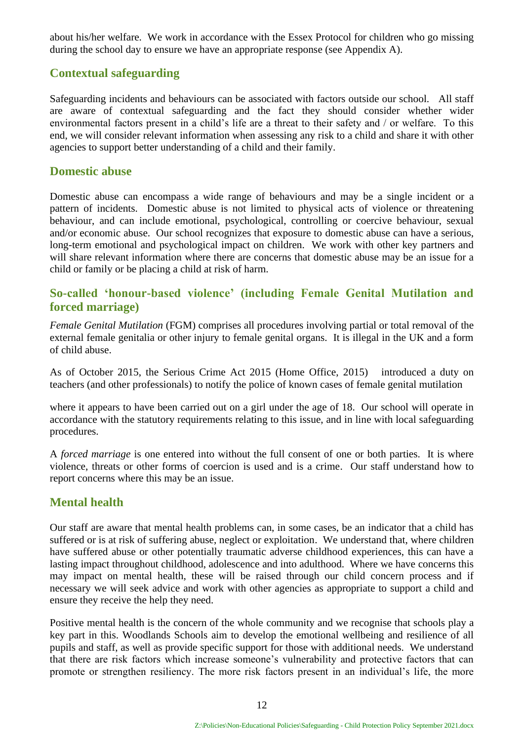about his/her welfare. We work in accordance with the Essex Protocol for children who go missing during the school day to ensure we have an appropriate response (see Appendix A).

#### **Contextual safeguarding**

Safeguarding incidents and behaviours can be associated with factors outside our school. All staff are aware of contextual safeguarding and the fact they should consider whether wider environmental factors present in a child's life are a threat to their safety and / or welfare. To this end, we will consider relevant information when assessing any risk to a child and share it with other agencies to support better understanding of a child and their family.

#### **Domestic abuse**

Domestic abuse can encompass a wide range of behaviours and may be a single incident or a pattern of incidents. Domestic abuse is not limited to physical acts of violence or threatening behaviour, and can include emotional, psychological, controlling or coercive behaviour, sexual and/or economic abuse. Our school recognizes that exposure to domestic abuse can have a serious, long-term emotional and psychological impact on children. We work with other key partners and will share relevant information where there are concerns that domestic abuse may be an issue for a child or family or be placing a child at risk of harm.

#### **So-called 'honour-based violence' (including Female Genital Mutilation and forced marriage)**

*Female Genital Mutilation* (FGM) comprises all procedures involving partial or total removal of the external female genitalia or other injury to female genital organs. It is illegal in the UK and a form of child abuse.

As of October 2015, the Serious Crime Act 2015 (Home Office, 2015) introduced a duty on teachers (and other professionals) to notify the police of known cases of female genital mutilation

where it appears to have been carried out on a girl under the age of 18. Our school will operate in accordance with the statutory requirements relating to this issue, and in line with local safeguarding procedures.

A *forced marriage* is one entered into without the full consent of one or both parties. It is where violence, threats or other forms of coercion is used and is a crime. Our staff understand how to report concerns where this may be an issue.

#### **Mental health**

Our staff are aware that mental health problems can, in some cases, be an indicator that a child has suffered or is at risk of suffering abuse, neglect or exploitation. We understand that, where children have suffered abuse or other potentially traumatic adverse childhood experiences, this can have a lasting impact throughout childhood, adolescence and into adulthood. Where we have concerns this may impact on mental health, these will be raised through our child concern process and if necessary we will seek advice and work with other agencies as appropriate to support a child and ensure they receive the help they need.

Positive mental health is the concern of the whole community and we recognise that schools play a key part in this. Woodlands Schools aim to develop the emotional wellbeing and resilience of all pupils and staff, as well as provide specific support for those with additional needs. We understand that there are risk factors which increase someone's vulnerability and protective factors that can promote or strengthen resiliency. The more risk factors present in an individual's life, the more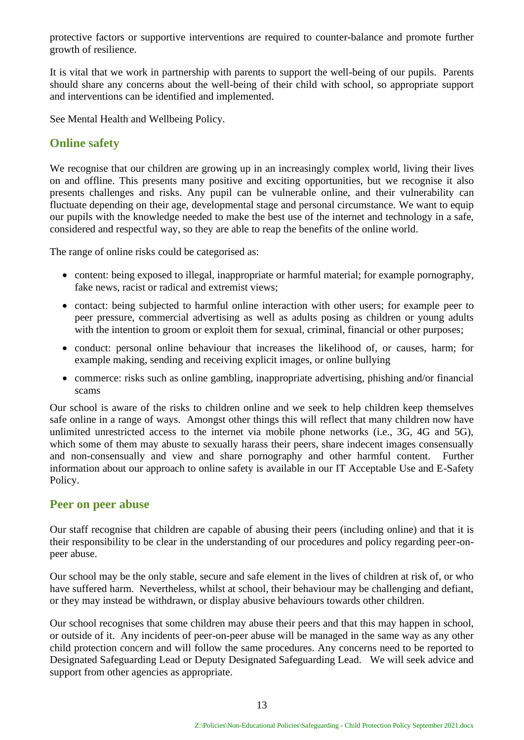protective factors or supportive interventions are required to counter-balance and promote further growth of resilience.

It is vital that we work in partnership with parents to support the well-being of our pupils. Parents should share any concerns about the well-being of their child with school, so appropriate support and interventions can be identified and implemented.

See Mental Health and Wellbeing Policy.

#### **Online safety**

We recognise that our children are growing up in an increasingly complex world, living their lives on and offline. This presents many positive and exciting opportunities, but we recognise it also presents challenges and risks. Any pupil can be vulnerable online, and their vulnerability can fluctuate depending on their age, developmental stage and personal circumstance. We want to equip our pupils with the knowledge needed to make the best use of the internet and technology in a safe, considered and respectful way, so they are able to reap the benefits of the online world.

The range of online risks could be categorised as:

- content: being exposed to illegal, inappropriate or harmful material; for example pornography, fake news, racist or radical and extremist views;
- contact: being subjected to harmful online interaction with other users; for example peer to peer pressure, commercial advertising as well as adults posing as children or young adults with the intention to groom or exploit them for sexual, criminal, financial or other purposes;
- conduct: personal online behaviour that increases the likelihood of, or causes, harm; for example making, sending and receiving explicit images, or online bullying
- commerce: risks such as online gambling, inappropriate advertising, phishing and/or financial scams

Our school is aware of the risks to children online and we seek to help children keep themselves safe online in a range of ways. Amongst other things this will reflect that many children now have unlimited unrestricted access to the internet via mobile phone networks (i.e., 3G, 4G and 5G), which some of them may abuste to sexually harass their peers, share indecent images consensually and non-consensually and view and share pornography and other harmful content. Further information about our approach to online safety is available in our IT Acceptable Use and E-Safety Policy.

#### **Peer on peer abuse**

Our staff recognise that children are capable of abusing their peers (including online) and that it is their responsibility to be clear in the understanding of our procedures and policy regarding peer-onpeer abuse.

Our school may be the only stable, secure and safe element in the lives of children at risk of, or who have suffered harm. Nevertheless, whilst at school, their behaviour may be challenging and defiant, or they may instead be withdrawn, or display abusive behaviours towards other children.

Our school recognises that some children may abuse their peers and that this may happen in school, or outside of it. Any incidents of peer-on-peer abuse will be managed in the same way as any other child protection concern and will follow the same procedures. Any concerns need to be reported to Designated Safeguarding Lead or Deputy Designated Safeguarding Lead. We will seek advice and support from other agencies as appropriate.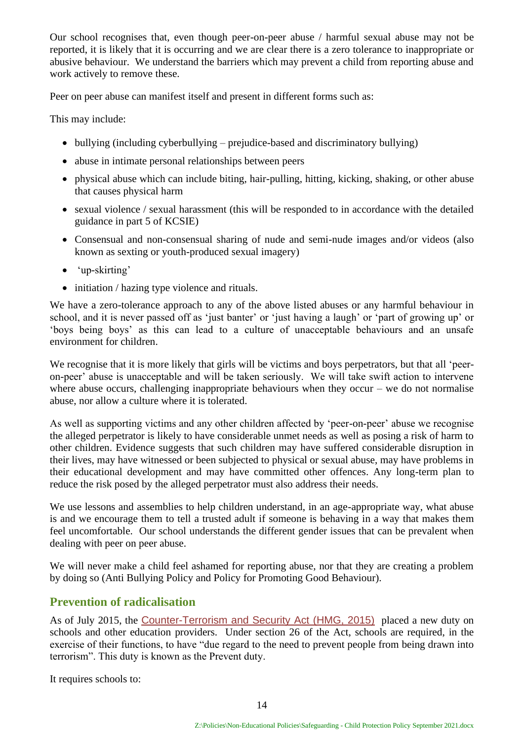Our school recognises that, even though peer-on-peer abuse / harmful sexual abuse may not be reported, it is likely that it is occurring and we are clear there is a zero tolerance to inappropriate or abusive behaviour. We understand the barriers which may prevent a child from reporting abuse and work actively to remove these.

Peer on peer abuse can manifest itself and present in different forms such as:

This may include:

- bullying (including cyberbullying prejudice-based and discriminatory bullying)
- abuse in intimate personal relationships between peers
- physical abuse which can include biting, hair-pulling, hitting, kicking, shaking, or other abuse that causes physical harm
- sexual violence / sexual harassment (this will be responded to in accordance with the detailed guidance in part 5 of KCSIE)
- Consensual and non-consensual sharing of nude and semi-nude images and/or videos (also known as sexting or youth-produced sexual imagery)
- 'up-skirting'
- initiation / hazing type violence and rituals.

We have a zero-tolerance approach to any of the above listed abuses or any harmful behaviour in school, and it is never passed off as 'just banter' or 'just having a laugh' or 'part of growing up' or 'boys being boys' as this can lead to a culture of unacceptable behaviours and an unsafe environment for children.

We recognise that it is more likely that girls will be victims and boys perpetrators, but that all 'peeron-peer' abuse is unacceptable and will be taken seriously. We will take swift action to intervene where abuse occurs, challenging inappropriate behaviours when they occur – we do not normalise abuse, nor allow a culture where it is tolerated.

As well as supporting victims and any other children affected by 'peer-on-peer' abuse we recognise the alleged perpetrator is likely to have considerable unmet needs as well as posing a risk of harm to other children. Evidence suggests that such children may have suffered considerable disruption in their lives, may have witnessed or been subjected to physical or sexual abuse, may have problems in their educational development and may have committed other offences. Any long-term plan to reduce the risk posed by the alleged perpetrator must also address their needs.

We use lessons and assemblies to help children understand, in an age-appropriate way, what abuse is and we encourage them to tell a trusted adult if someone is behaving in a way that makes them feel uncomfortable. Our school understands the different gender issues that can be prevalent when dealing with peer on peer abuse.

We will never make a child feel ashamed for reporting abuse, nor that they are creating a problem by doing so (Anti Bullying Policy and Policy for Promoting Good Behaviour).

#### <span id="page-13-0"></span>**Prevention of radicalisation**

As of July 2015, the [Counter-Terrorism and Security Act \(HMG, 2015\)](http://www.legislation.gov.uk/ukpga/2015/6/contents) placed a new duty on schools and other education providers. Under section 26 of the Act, schools are required, in the exercise of their functions, to have "due regard to the need to prevent people from being drawn into terrorism". This duty is known as the Prevent duty.

It requires schools to: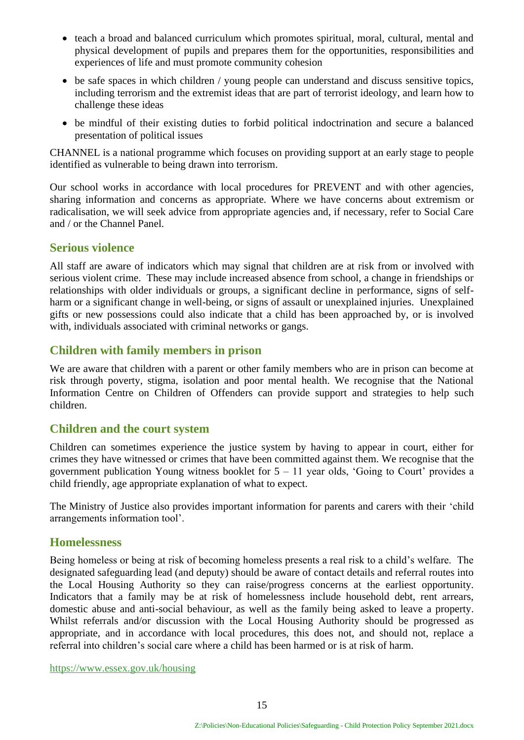- teach a broad and balanced curriculum which promotes spiritual, moral, cultural, mental and physical development of pupils and prepares them for the opportunities, responsibilities and experiences of life and must promote community cohesion
- be safe spaces in which children / young people can understand and discuss sensitive topics, including terrorism and the extremist ideas that are part of terrorist ideology, and learn how to challenge these ideas
- be mindful of their existing duties to forbid political indoctrination and secure a balanced presentation of political issues

CHANNEL is a national programme which focuses on providing support at an early stage to people identified as vulnerable to being drawn into terrorism.

Our school works in accordance with local procedures for PREVENT and with other agencies, sharing information and concerns as appropriate. Where we have concerns about extremism or radicalisation, we will seek advice from appropriate agencies and, if necessary, refer to Social Care and / or the Channel Panel.

#### <span id="page-14-0"></span>**Serious violence**

All staff are aware of indicators which may signal that children are at risk from or involved with serious violent crime. These may include increased absence from school, a change in friendships or relationships with older individuals or groups, a significant decline in performance, signs of selfharm or a significant change in well-being, or signs of assault or unexplained injuries. Unexplained gifts or new possessions could also indicate that a child has been approached by, or is involved with, individuals associated with criminal networks or gangs.

#### <span id="page-14-1"></span>**Children with family members in prison**

We are aware that children with a parent or other family members who are in prison can become at risk through poverty, stigma, isolation and poor mental health. We recognise that the National Information Centre on Children of Offenders can provide support and strategies to help such children.

#### <span id="page-14-2"></span>**Children and the court system**

Children can sometimes experience the justice system by having to appear in court, either for crimes they have witnessed or crimes that have been committed against them. We recognise that the government publication Young witness booklet for  $5 - 11$  year olds, 'Going to Court' provides a child friendly, age appropriate explanation of what to expect.

The Ministry of Justice also provides important information for parents and carers with their 'child arrangements information tool'.

#### <span id="page-14-3"></span>**Homelessness**

Being homeless or being at risk of becoming homeless presents a real risk to a child's welfare. The designated safeguarding lead (and deputy) should be aware of contact details and referral routes into the Local Housing Authority so they can raise/progress concerns at the earliest opportunity. Indicators that a family may be at risk of homelessness include household debt, rent arrears, domestic abuse and anti-social behaviour, as well as the family being asked to leave a property. Whilst referrals and/or discussion with the Local Housing Authority should be progressed as appropriate, and in accordance with local procedures, this does not, and should not, replace a referral into children's social care where a child has been harmed or is at risk of harm.

<https://www.essex.gov.uk/housing>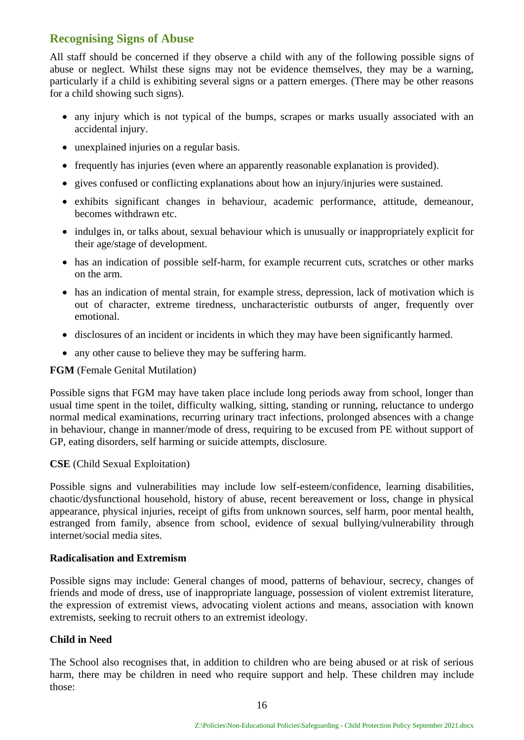#### <span id="page-15-0"></span>**Recognising Signs of Abuse**

All staff should be concerned if they observe a child with any of the following possible signs of abuse or neglect. Whilst these signs may not be evidence themselves, they may be a warning, particularly if a child is exhibiting several signs or a pattern emerges. (There may be other reasons for a child showing such signs).

- any injury which is not typical of the bumps, scrapes or marks usually associated with an accidental injury.
- unexplained injuries on a regular basis.
- frequently has injuries (even where an apparently reasonable explanation is provided).
- gives confused or conflicting explanations about how an injury/injuries were sustained.
- exhibits significant changes in behaviour, academic performance, attitude, demeanour, becomes withdrawn etc.
- indulges in, or talks about, sexual behaviour which is unusually or inappropriately explicit for their age/stage of development.
- has an indication of possible self-harm, for example recurrent cuts, scratches or other marks on the arm.
- has an indication of mental strain, for example stress, depression, lack of motivation which is out of character, extreme tiredness, uncharacteristic outbursts of anger, frequently over emotional.
- disclosures of an incident or incidents in which they may have been significantly harmed.
- any other cause to believe they may be suffering harm.

#### **FGM** (Female Genital Mutilation)

Possible signs that FGM may have taken place include long periods away from school, longer than usual time spent in the toilet, difficulty walking, sitting, standing or running, reluctance to undergo normal medical examinations, recurring urinary tract infections, prolonged absences with a change in behaviour, change in manner/mode of dress, requiring to be excused from PE without support of GP, eating disorders, self harming or suicide attempts, disclosure.

#### **CSE** (Child Sexual Exploitation)

Possible signs and vulnerabilities may include low self-esteem/confidence, learning disabilities, chaotic/dysfunctional household, history of abuse, recent bereavement or loss, change in physical appearance, physical injuries, receipt of gifts from unknown sources, self harm, poor mental health, estranged from family, absence from school, evidence of sexual bullying/vulnerability through internet/social media sites.

#### **Radicalisation and Extremism**

Possible signs may include: General changes of mood, patterns of behaviour, secrecy, changes of friends and mode of dress, use of inappropriate language, possession of violent extremist literature, the expression of extremist views, advocating violent actions and means, association with known extremists, seeking to recruit others to an extremist ideology.

#### **Child in Need**

The School also recognises that, in addition to children who are being abused or at risk of serious harm, there may be children in need who require support and help. These children may include those: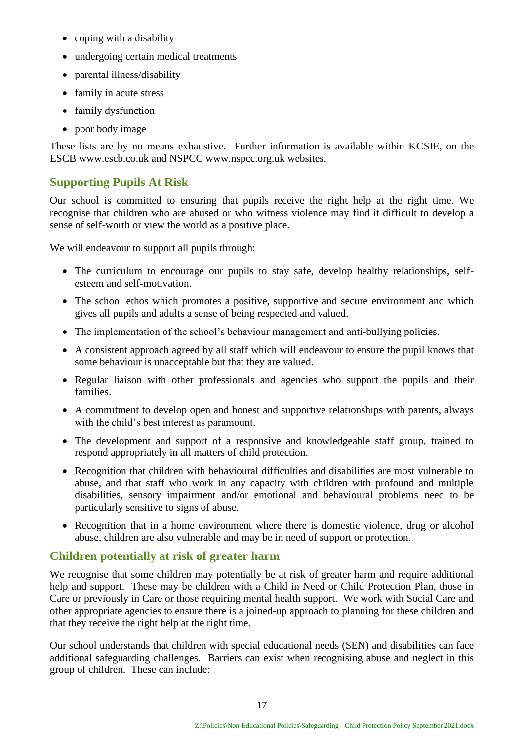- coping with a disability
- undergoing certain medical treatments
- parental illness/disability
- family in acute stress
- family dysfunction
- poor body image

These lists are by no means exhaustive. Further information is available within KCSIE, on the ESCB www.escb.co.uk and NSPCC www.nspcc.org.uk websites.

#### <span id="page-16-0"></span>**Supporting Pupils At Risk**

Our school is committed to ensuring that pupils receive the right help at the right time. We recognise that children who are abused or who witness violence may find it difficult to develop a sense of self-worth or view the world as a positive place.

We will endeavour to support all pupils through:

- The curriculum to encourage our pupils to stay safe, develop healthy relationships, selfesteem and self-motivation.
- The school ethos which promotes a positive, supportive and secure environment and which gives all pupils and adults a sense of being respected and valued.
- The implementation of the school's behaviour management and anti-bullying policies.
- A consistent approach agreed by all staff which will endeavour to ensure the pupil knows that some behaviour is unacceptable but that they are valued.
- Regular liaison with other professionals and agencies who support the pupils and their families.
- A commitment to develop open and honest and supportive relationships with parents, always with the child's best interest as paramount.
- The development and support of a responsive and knowledgeable staff group, trained to respond appropriately in all matters of child protection.
- Recognition that children with behavioural difficulties and disabilities are most vulnerable to abuse, and that staff who work in any capacity with children with profound and multiple disabilities, sensory impairment and/or emotional and behavioural problems need to be particularly sensitive to signs of abuse.
- Recognition that in a home environment where there is domestic violence, drug or alcohol abuse, children are also vulnerable and may be in need of support or protection.

#### <span id="page-16-1"></span>**Children potentially at risk of greater harm**

We recognise that some children may potentially be at risk of greater harm and require additional help and support. These may be children with a Child in Need or Child Protection Plan, those in Care or previously in Care or those requiring mental health support. We work with Social Care and other appropriate agencies to ensure there is a joined-up approach to planning for these children and that they receive the right help at the right time.

Our school understands that children with special educational needs (SEN) and disabilities can face additional safeguarding challenges. Barriers can exist when recognising abuse and neglect in this group of children. These can include: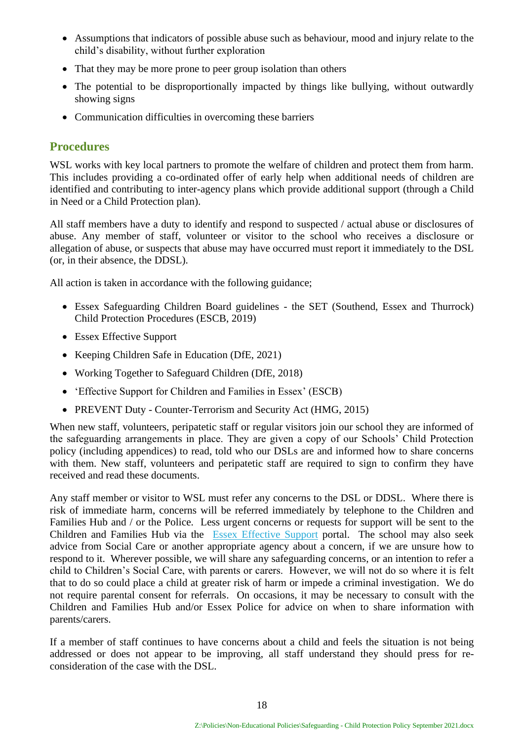- Assumptions that indicators of possible abuse such as behaviour, mood and injury relate to the child's disability, without further exploration
- That they may be more prone to peer group isolation than others
- The potential to be disproportionally impacted by things like bullying, without outwardly showing signs
- Communication difficulties in overcoming these barriers

#### <span id="page-17-0"></span>**Procedures**

WSL works with key local partners to promote the welfare of children and protect them from harm. This includes providing a co-ordinated offer of early help when additional needs of children are identified and contributing to inter-agency plans which provide additional support (through a Child in Need or a Child Protection plan).

All staff members have a duty to identify and respond to suspected / actual abuse or disclosures of abuse. Any member of staff, volunteer or visitor to the school who receives a disclosure or allegation of abuse, or suspects that abuse may have occurred must report it immediately to the DSL (or, in their absence, the DDSL).

All action is taken in accordance with the following guidance;

- Essex Safeguarding Children Board guidelines the SET (Southend, Essex and Thurrock) Child Protection Procedures (ESCB, 2019)
- [Essex Effective Support](http://links.govdelivery.com/track?type=click&enid=ZWFzPTEmbWFpbGluZ2lkPTIwMTgwNDExLjg4MjIzMTExJm1lc3NhZ2VpZD1NREItUFJELUJVTC0yMDE4MDQxMS44ODIyMzExMSZkYXRhYmFzZWlkPTEwMDEmc2VyaWFsPTE3MzE0NjA5JmVtYWlsaWQ9am8uYmFyY2xheUBlc3NleC5nb3YudWsmdXNlcmlkPWpvLmJhcmNsYXlAZXNzZXguZ292LnVrJmZsPSZleHRyYT1NdWx0aXZhcmlhdGVJZD0mJiY=&&&100&&&https://www.essexeffectivesupport.org.uk/)
- Keeping Children Safe in Education (DfE, 2021)
- Working Together to Safeguard Children (DfE, 2018)
- 'Effective Support for Children and Families in Essex' (ESCB)
- PREVENT Duty Counter-Terrorism and Security Act (HMG, 2015)

When new staff, volunteers, peripatetic staff or regular visitors join our school they are informed of the safeguarding arrangements in place. They are given a copy of our Schools' Child Protection policy (including appendices) to read, told who our DSLs are and informed how to share concerns with them. New staff, volunteers and peripatetic staff are required to sign to confirm they have received and read these documents.

Any staff member or visitor to WSL must refer any concerns to the DSL or DDSL. Where there is risk of immediate harm, concerns will be referred immediately by telephone to the Children and Families Hub and / or the Police. Less urgent concerns or requests for support will be sent to the Children and Families Hub via the [Essex Effective Support](http://links.govdelivery.com/track?type=click&enid=ZWFzPTEmbWFpbGluZ2lkPTIwMTgwNDExLjg4MjIzMTExJm1lc3NhZ2VpZD1NREItUFJELUJVTC0yMDE4MDQxMS44ODIyMzExMSZkYXRhYmFzZWlkPTEwMDEmc2VyaWFsPTE3MzE0NjA5JmVtYWlsaWQ9am8uYmFyY2xheUBlc3NleC5nb3YudWsmdXNlcmlkPWpvLmJhcmNsYXlAZXNzZXguZ292LnVrJmZsPSZleHRyYT1NdWx0aXZhcmlhdGVJZD0mJiY=&&&100&&&https://www.essexeffectivesupport.org.uk/) portal. The school may also seek advice from Social Care or another appropriate agency about a concern, if we are unsure how to respond to it. Wherever possible, we will share any safeguarding concerns, or an intention to refer a child to Children's Social Care, with parents or carers. However, we will not do so where it is felt that to do so could place a child at greater risk of harm or impede a criminal investigation. We do not require parental consent for referrals. On occasions, it may be necessary to consult with the Children and Families Hub and/or Essex Police for advice on when to share information with parents/carers.

If a member of staff continues to have concerns about a child and feels the situation is not being addressed or does not appear to be improving, all staff understand they should press for reconsideration of the case with the DSL.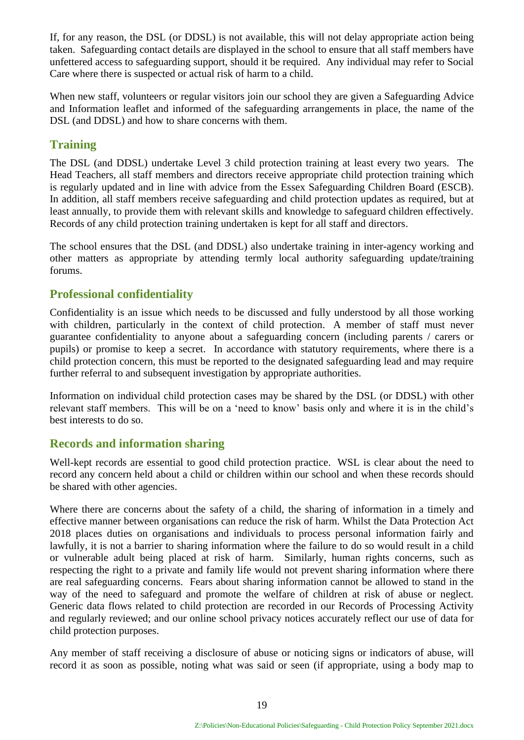If, for any reason, the DSL (or DDSL) is not available, this will not delay appropriate action being taken. Safeguarding contact details are displayed in the school to ensure that all staff members have unfettered access to safeguarding support, should it be required. Any individual may refer to Social Care where there is suspected or actual risk of harm to a child.

When new staff, volunteers or regular visitors join our school they are given a Safeguarding Advice and Information leaflet and informed of the safeguarding arrangements in place, the name of the DSL (and DDSL) and how to share concerns with them.

#### <span id="page-18-0"></span>**Training**

The DSL (and DDSL) undertake Level 3 child protection training at least every two years. The Head Teachers, all staff members and directors receive appropriate child protection training which is regularly updated and in line with advice from the Essex Safeguarding Children Board (ESCB). In addition, all staff members receive safeguarding and child protection updates as required, but at least annually, to provide them with relevant skills and knowledge to safeguard children effectively. Records of any child protection training undertaken is kept for all staff and directors.

The school ensures that the DSL (and DDSL) also undertake training in inter-agency working and other matters as appropriate by attending termly local authority safeguarding update/training forums.

#### <span id="page-18-1"></span>**Professional confidentiality**

Confidentiality is an issue which needs to be discussed and fully understood by all those working with children, particularly in the context of child protection. A member of staff must never guarantee confidentiality to anyone about a safeguarding concern (including parents / carers or pupils) or promise to keep a secret. In accordance with statutory requirements, where there is a child protection concern, this must be reported to the designated safeguarding lead and may require further referral to and subsequent investigation by appropriate authorities.

Information on individual child protection cases may be shared by the DSL (or DDSL) with other relevant staff members. This will be on a 'need to know' basis only and where it is in the child's best interests to do so.

#### <span id="page-18-2"></span>**Records and information sharing**

Well-kept records are essential to good child protection practice. WSL is clear about the need to record any concern held about a child or children within our school and when these records should be shared with other agencies.

Where there are concerns about the safety of a child, the sharing of information in a timely and effective manner between organisations can reduce the risk of harm. Whilst the Data Protection Act 2018 places duties on organisations and individuals to process personal information fairly and lawfully, it is not a barrier to sharing information where the failure to do so would result in a child or vulnerable adult being placed at risk of harm. Similarly, human rights concerns, such as respecting the right to a private and family life would not prevent sharing information where there are real safeguarding concerns. Fears about sharing information cannot be allowed to stand in the way of the need to safeguard and promote the welfare of children at risk of abuse or neglect. Generic data flows related to child protection are recorded in our Records of Processing Activity and regularly reviewed; and our online school privacy notices accurately reflect our use of data for child protection purposes.

Any member of staff receiving a disclosure of abuse or noticing signs or indicators of abuse, will record it as soon as possible, noting what was said or seen (if appropriate, using a body map to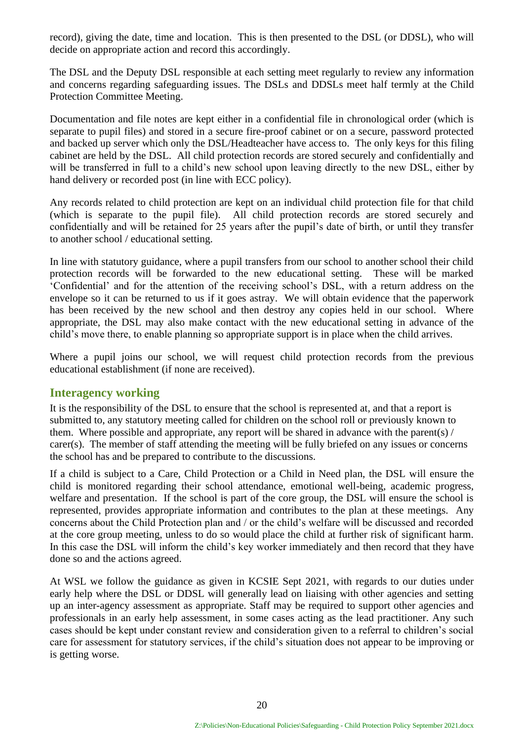record), giving the date, time and location. This is then presented to the DSL (or DDSL), who will decide on appropriate action and record this accordingly.

The DSL and the Deputy DSL responsible at each setting meet regularly to review any information and concerns regarding safeguarding issues. The DSLs and DDSLs meet half termly at the Child Protection Committee Meeting.

Documentation and file notes are kept either in a confidential file in chronological order (which is separate to pupil files) and stored in a secure fire-proof cabinet or on a secure, password protected and backed up server which only the DSL/Headteacher have access to. The only keys for this filing cabinet are held by the DSL. All child protection records are stored securely and confidentially and will be transferred in full to a child's new school upon leaving directly to the new DSL, either by hand delivery or recorded post (in line with ECC policy).

Any records related to child protection are kept on an individual child protection file for that child (which is separate to the pupil file). All child protection records are stored securely and confidentially and will be retained for 25 years after the pupil's date of birth, or until they transfer to another school / educational setting.

In line with statutory guidance, where a pupil transfers from our school to another school their child protection records will be forwarded to the new educational setting. These will be marked 'Confidential' and for the attention of the receiving school's DSL, with a return address on the envelope so it can be returned to us if it goes astray. We will obtain evidence that the paperwork has been received by the new school and then destroy any copies held in our school. Where appropriate, the DSL may also make contact with the new educational setting in advance of the child's move there, to enable planning so appropriate support is in place when the child arrives.

Where a pupil joins our school, we will request child protection records from the previous educational establishment (if none are received).

#### <span id="page-19-0"></span>**Interagency working**

It is the responsibility of the DSL to ensure that the school is represented at, and that a report is submitted to, any statutory meeting called for children on the school roll or previously known to them. Where possible and appropriate, any report will be shared in advance with the parent(s) / carer(s). The member of staff attending the meeting will be fully briefed on any issues or concerns the school has and be prepared to contribute to the discussions.

If a child is subject to a Care, Child Protection or a Child in Need plan, the DSL will ensure the child is monitored regarding their school attendance, emotional well-being, academic progress, welfare and presentation. If the school is part of the core group, the DSL will ensure the school is represented, provides appropriate information and contributes to the plan at these meetings. Any concerns about the Child Protection plan and / or the child's welfare will be discussed and recorded at the core group meeting, unless to do so would place the child at further risk of significant harm. In this case the DSL will inform the child's key worker immediately and then record that they have done so and the actions agreed.

At WSL we follow the guidance as given in KCSIE Sept 2021, with regards to our duties under early help where the DSL or DDSL will generally lead on liaising with other agencies and setting up an inter-agency assessment as appropriate. Staff may be required to support other agencies and professionals in an early help assessment, in some cases acting as the lead practitioner. Any such cases should be kept under constant review and consideration given to a referral to children's social care for assessment for statutory services, if the child's situation does not appear to be improving or is getting worse.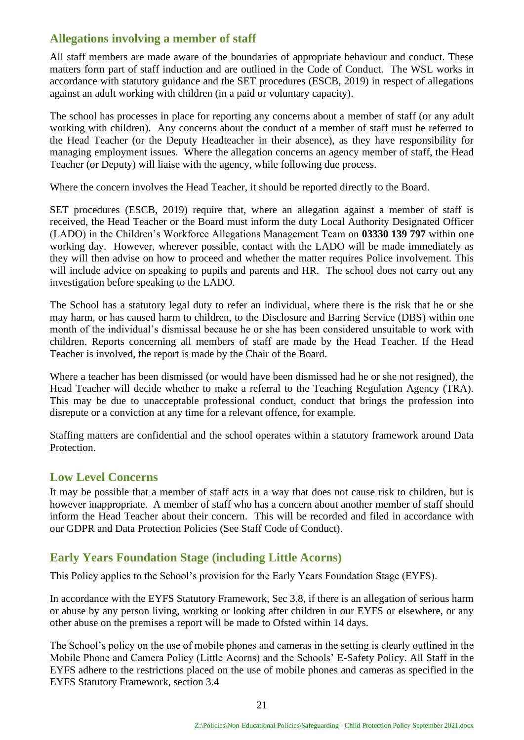#### <span id="page-20-0"></span>**Allegations involving a member of staff**

All staff members are made aware of the boundaries of appropriate behaviour and conduct. These matters form part of staff induction and are outlined in the Code of Conduct. The WSL works in accordance with statutory guidance and the SET procedures (ESCB, 2019) in respect of allegations against an adult working with children (in a paid or voluntary capacity).

The school has processes in place for reporting any concerns about a member of staff (or any adult working with children). Any concerns about the conduct of a member of staff must be referred to the Head Teacher (or the Deputy Headteacher in their absence), as they have responsibility for managing employment issues. Where the allegation concerns an agency member of staff, the Head Teacher (or Deputy) will liaise with the agency, while following due process.

Where the concern involves the Head Teacher, it should be reported directly to the Board.

SET procedures (ESCB, 2019) require that, where an allegation against a member of staff is received, the Head Teacher or the Board must inform the duty Local Authority Designated Officer (LADO) in the Children's Workforce Allegations Management Team on **03330 139 797** within one working day. However, wherever possible, contact with the LADO will be made immediately as they will then advise on how to proceed and whether the matter requires Police involvement. This will include advice on speaking to pupils and parents and HR. The school does not carry out any investigation before speaking to the LADO.

The School has a statutory legal duty to refer an individual, where there is the risk that he or she may harm, or has caused harm to children, to the Disclosure and Barring Service (DBS) within one month of the individual's dismissal because he or she has been considered unsuitable to work with children. Reports concerning all members of staff are made by the Head Teacher. If the Head Teacher is involved, the report is made by the Chair of the Board.

Where a teacher has been dismissed (or would have been dismissed had he or she not resigned), the Head Teacher will decide whether to make a referral to the Teaching Regulation Agency (TRA). This may be due to unacceptable professional conduct, conduct that brings the profession into disrepute or a conviction at any time for a relevant offence, for example.

Staffing matters are confidential and the school operates within a statutory framework around Data Protection.

#### <span id="page-20-1"></span>**Low Level Concerns**

It may be possible that a member of staff acts in a way that does not cause risk to children, but is however inappropriate. A member of staff who has a concern about another member of staff should inform the Head Teacher about their concern. This will be recorded and filed in accordance with our GDPR and Data Protection Policies (See Staff Code of Conduct).

#### <span id="page-20-2"></span>**Early Years Foundation Stage (including Little Acorns)**

This Policy applies to the School's provision for the Early Years Foundation Stage (EYFS).

In accordance with the EYFS Statutory Framework, Sec 3.8, if there is an allegation of serious harm or abuse by any person living, working or looking after children in our EYFS or elsewhere, or any other abuse on the premises a report will be made to Ofsted within 14 days.

The School's policy on the use of mobile phones and cameras in the setting is clearly outlined in the Mobile Phone and Camera Policy (Little Acorns) and the Schools' E-Safety Policy. All Staff in the EYFS adhere to the restrictions placed on the use of mobile phones and cameras as specified in the EYFS Statutory Framework, section 3.4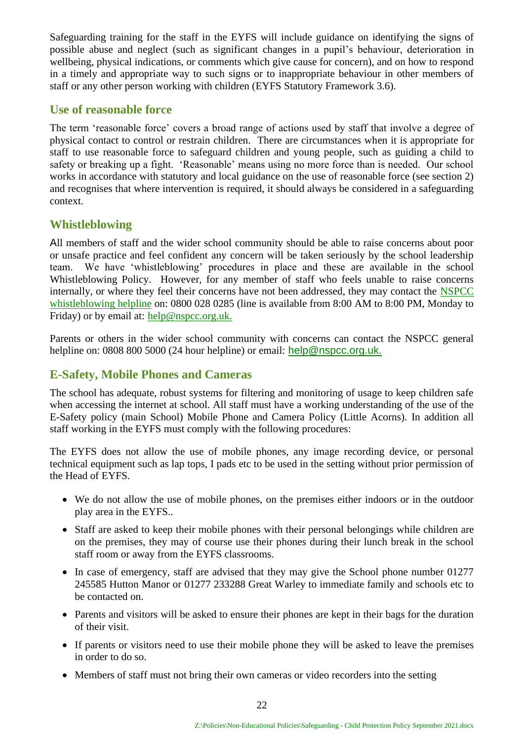Safeguarding training for the staff in the EYFS will include guidance on identifying the signs of possible abuse and neglect (such as significant changes in a pupil's behaviour, deterioration in wellbeing, physical indications, or comments which give cause for concern), and on how to respond in a timely and appropriate way to such signs or to inappropriate behaviour in other members of staff or any other person working with children (EYFS Statutory Framework 3.6).

#### <span id="page-21-0"></span>**Use of reasonable force**

The term 'reasonable force' covers a broad range of actions used by staff that involve a degree of physical contact to control or restrain children. There are circumstances when it is appropriate for staff to use reasonable force to safeguard children and young people, such as guiding a child to safety or breaking up a fight. 'Reasonable' means using no more force than is needed. Our school works in accordance with statutory and local guidance on the use of reasonable force (see section 2) and recognises that where intervention is required, it should always be considered in a safeguarding context.

#### <span id="page-21-1"></span>**Whistleblowing**

All members of staff and the wider school community should be able to raise concerns about poor or unsafe practice and feel confident any concern will be taken seriously by the school leadership team. We have 'whistleblowing' procedures in place and these are available in the school Whistleblowing Policy. However, for any member of staff who feels unable to raise concerns internally, or where they feel their concerns have not been addressed, they may contact the **NSPCC** [whistleblowing helpline](https://www.nspcc.org.uk/what-you-can-do/report-abuse/dedicated-helplines/whistleblowing-advice-line/) on: 0800 028 0285 (line is available from 8:00 AM to 8:00 PM, Monday to Friday) or by email at: [help@nspcc.org.uk.](mailto:help@nspcc.org.uk)

Parents or others in the wider school community with concerns can contact the NSPCC general helpline on: 0808 800 5000 (24 hour helpline) or email: [help@nspcc.org.uk.](mailto:help@nspcc.org.uk)

#### <span id="page-21-2"></span>**E-Safety, Mobile Phones and Cameras**

The school has adequate, robust systems for filtering and monitoring of usage to keep children safe when accessing the internet at school. All staff must have a working understanding of the use of the E-Safety policy (main School) Mobile Phone and Camera Policy (Little Acorns). In addition all staff working in the EYFS must comply with the following procedures:

The EYFS does not allow the use of mobile phones, any image recording device, or personal technical equipment such as lap tops, I pads etc to be used in the setting without prior permission of the Head of EYFS.

- We do not allow the use of mobile phones, on the premises either indoors or in the outdoor play area in the EYFS..
- Staff are asked to keep their mobile phones with their personal belongings while children are on the premises, they may of course use their phones during their lunch break in the school staff room or away from the EYFS classrooms.
- In case of emergency, staff are advised that they may give the School phone number 01277 245585 Hutton Manor or 01277 233288 Great Warley to immediate family and schools etc to be contacted on.
- Parents and visitors will be asked to ensure their phones are kept in their bags for the duration of their visit.
- If parents or visitors need to use their mobile phone they will be asked to leave the premises in order to do so.
- Members of staff must not bring their own cameras or video recorders into the setting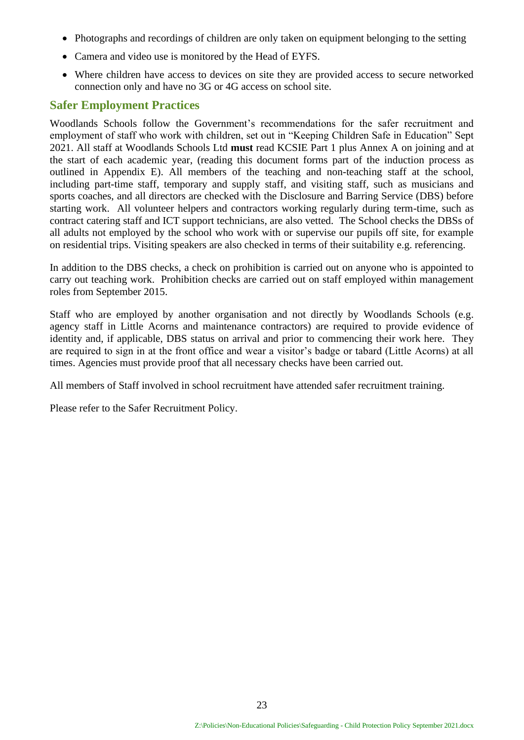- Photographs and recordings of children are only taken on equipment belonging to the setting
- Camera and video use is monitored by the Head of EYFS.
- Where children have access to devices on site they are provided access to secure networked connection only and have no 3G or 4G access on school site.

#### <span id="page-22-0"></span>**Safer Employment Practices**

Woodlands Schools follow the Government's recommendations for the safer recruitment and employment of staff who work with children, set out in "Keeping Children Safe in Education" Sept 2021. All staff at Woodlands Schools Ltd **must** read KCSIE Part 1 plus Annex A on joining and at the start of each academic year, (reading this document forms part of the induction process as outlined in Appendix E). All members of the teaching and non-teaching staff at the school, including part-time staff, temporary and supply staff, and visiting staff, such as musicians and sports coaches, and all directors are checked with the Disclosure and Barring Service (DBS) before starting work. All volunteer helpers and contractors working regularly during term-time, such as contract catering staff and ICT support technicians, are also vetted. The School checks the DBSs of all adults not employed by the school who work with or supervise our pupils off site, for example on residential trips. Visiting speakers are also checked in terms of their suitability e.g. referencing.

In addition to the DBS checks, a check on prohibition is carried out on anyone who is appointed to carry out teaching work. Prohibition checks are carried out on staff employed within management roles from September 2015.

Staff who are employed by another organisation and not directly by Woodlands Schools (e.g. agency staff in Little Acorns and maintenance contractors) are required to provide evidence of identity and, if applicable, DBS status on arrival and prior to commencing their work here. They are required to sign in at the front office and wear a visitor's badge or tabard (Little Acorns) at all times. Agencies must provide proof that all necessary checks have been carried out.

All members of Staff involved in school recruitment have attended safer recruitment training.

Please refer to the Safer Recruitment Policy.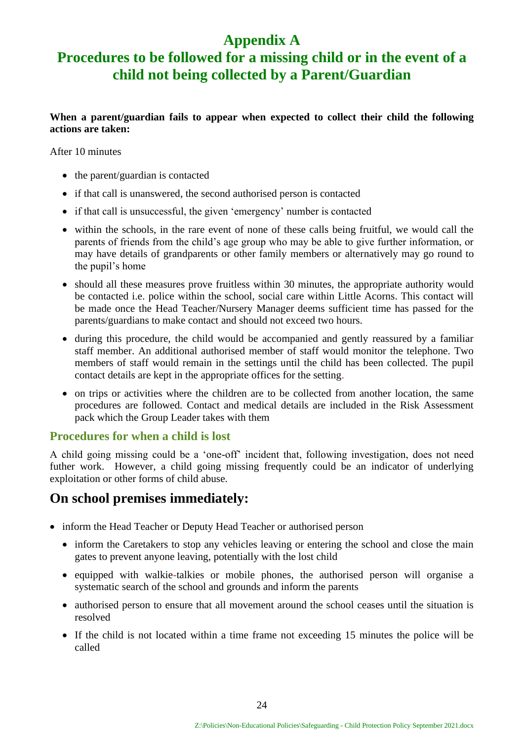# **Appendix A**

# <span id="page-23-0"></span>**Procedures to be followed for a missing child or in the event of a child not being collected by a Parent/Guardian**

#### **When a parent/guardian fails to appear when expected to collect their child the following actions are taken:**

After 10 minutes

- the parent/guardian is contacted
- if that call is unanswered, the second authorised person is contacted
- if that call is unsuccessful, the given 'emergency' number is contacted
- within the schools, in the rare event of none of these calls being fruitful, we would call the parents of friends from the child's age group who may be able to give further information, or may have details of grandparents or other family members or alternatively may go round to the pupil's home
- should all these measures prove fruitless within 30 minutes, the appropriate authority would be contacted i.e. police within the school, social care within Little Acorns. This contact will be made once the Head Teacher/Nursery Manager deems sufficient time has passed for the parents/guardians to make contact and should not exceed two hours.
- during this procedure, the child would be accompanied and gently reassured by a familiar staff member. An additional authorised member of staff would monitor the telephone. Two members of staff would remain in the settings until the child has been collected. The pupil contact details are kept in the appropriate offices for the setting.
- on trips or activities where the children are to be collected from another location, the same procedures are followed. Contact and medical details are included in the Risk Assessment pack which the Group Leader takes with them

#### <span id="page-23-1"></span>**Procedures for when a child is lost**

A child going missing could be a 'one-off' incident that, following investigation, does not need futher work. However, a child going missing frequently could be an indicator of underlying exploitation or other forms of child abuse.

#### **On school premises immediately:**

- inform the Head Teacher or Deputy Head Teacher or authorised person
	- inform the Caretakers to stop any vehicles leaving or entering the school and close the main gates to prevent anyone leaving, potentially with the lost child
	- equipped with walkie-talkies or mobile phones, the authorised person will organise a systematic search of the school and grounds and inform the parents
	- authorised person to ensure that all movement around the school ceases until the situation is resolved
	- If the child is not located within a time frame not exceeding 15 minutes the police will be called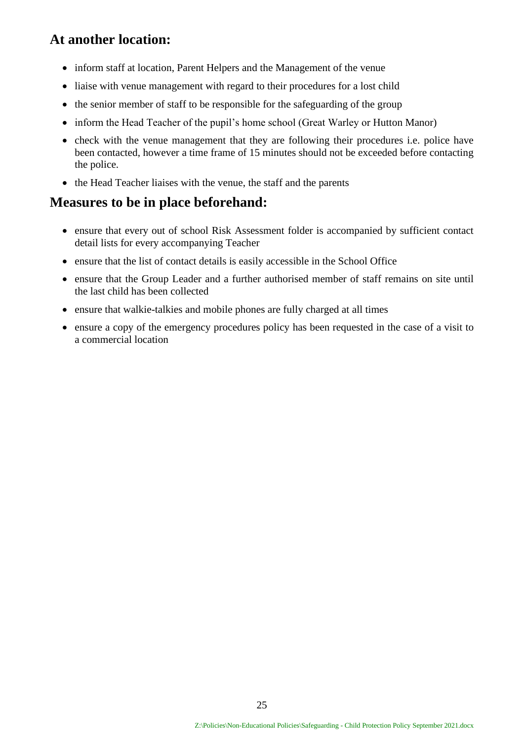### **At another location:**

- inform staff at location, Parent Helpers and the Management of the venue
- liaise with venue management with regard to their procedures for a lost child
- the senior member of staff to be responsible for the safeguarding of the group
- inform the Head Teacher of the pupil's home school (Great Warley or Hutton Manor)
- check with the venue management that they are following their procedures i.e. police have been contacted, however a time frame of 15 minutes should not be exceeded before contacting the police.
- the Head Teacher liaises with the venue, the staff and the parents

#### **Measures to be in place beforehand:**

- ensure that every out of school Risk Assessment folder is accompanied by sufficient contact detail lists for every accompanying Teacher
- ensure that the list of contact details is easily accessible in the School Office
- ensure that the Group Leader and a further authorised member of staff remains on site until the last child has been collected
- ensure that walkie-talkies and mobile phones are fully charged at all times
- ensure a copy of the emergency procedures policy has been requested in the case of a visit to a commercial location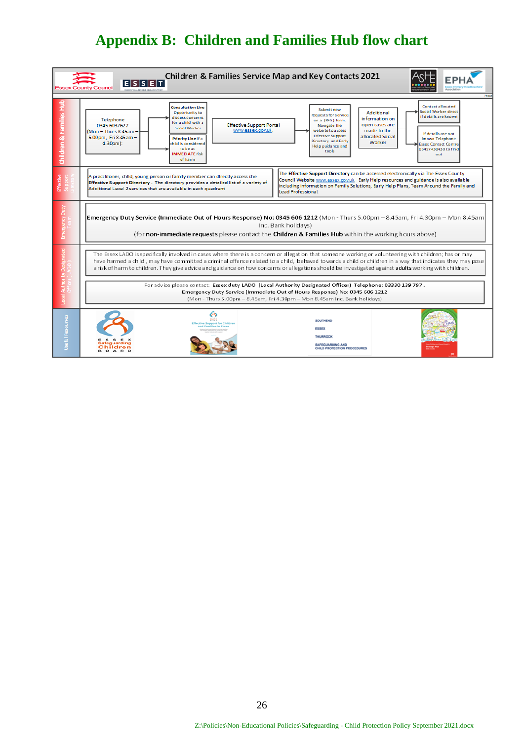# **Appendix B: Children and Families Hub flow chart**

<span id="page-25-0"></span>

| <b>Children &amp; Families Service Map and Key Contacts 2021</b><br>E[S S E T] |                                                                                                                                                                                                                                                                                                                                                                                                                                                                             |                                                                                                                                                                                                                                                                                                                                                                                                                                                          |  |  |  |  |
|--------------------------------------------------------------------------------|-----------------------------------------------------------------------------------------------------------------------------------------------------------------------------------------------------------------------------------------------------------------------------------------------------------------------------------------------------------------------------------------------------------------------------------------------------------------------------|----------------------------------------------------------------------------------------------------------------------------------------------------------------------------------------------------------------------------------------------------------------------------------------------------------------------------------------------------------------------------------------------------------------------------------------------------------|--|--|--|--|
| Children & Families                                                            | <b>Consultation Line</b><br>Opportunity to<br>discuss concerns<br>Telephone<br>for a child with a<br><b>Effective Support Portal</b><br>0345 6037627<br>Social Worker<br>www.essex.gov.uk.<br>$(Mon - Thus 8.45am -$<br>5.00pm, Fri 8.45am -<br><b>Priority Line if a</b><br>$4.30pm$ :<br>child is considered<br>to be at<br><b>IMMEDIATE risk</b><br>of harm                                                                                                              | Contact allocated<br>Submit new<br>Social Worker direct<br>Additional<br>requests for service<br>if details are known<br>information on<br>on a (RFS) form.<br>open cases are<br>Navigate the<br>we bsite to a ccess<br>made to the<br>If details are not<br><b>Effective Support</b><br>allocated Social<br>known Telephone<br>Directory and Early<br>Worker<br><b>Issex Contact Centre</b><br>Help guidance and<br>03457430430 to find<br>tools<br>out |  |  |  |  |
| Effective                                                                      | A practitioner, child, young person or family member can directly access the<br>Effective Support Directory. The directory provides a detailed list of a variety of<br>Additional Level 2 services that are available in each quadrant                                                                                                                                                                                                                                      | The Effective Support Directory can be accessed electronically via The Essex County<br>Council Website www.essex.gov.uk. Early Help resources and guidance is also available<br>including information on Family Solutions, Early Help Plans, Team Around the Family and<br>Lead Professional.                                                                                                                                                            |  |  |  |  |
|                                                                                | Emergency Duty Service (Immediate Out of Hours Response) No: 0345 606 1212 (Mon - Thurs 5.00pm - 8.45am, Fri 4.30pm - Mon 8.45am)<br>Inc. Bank holidays)<br>(for non-immediate requests please contact the Children & Families Hub within the working hours above)                                                                                                                                                                                                          |                                                                                                                                                                                                                                                                                                                                                                                                                                                          |  |  |  |  |
|                                                                                | The Essex LADO is specifically involved in cases where there is a concern or allegation that someone working or volunteering with children; has or may<br>have harmed a child, may have committed a criminal offence related to a child, behaved towards a child or children in a way that indicates they may pose<br>a risk of harm to children. They give advice and guidance on how concerns or allegations should be investigated against adults working with children. |                                                                                                                                                                                                                                                                                                                                                                                                                                                          |  |  |  |  |
|                                                                                | For advice please contact: Essex duty LADO (Local Authority Designated Officer) Telephone: 03330 139 797.<br>Emergency Duty Service (Immediate Out of Hours Response) No: 0345 606 1212<br>(Mon - Thurs 5.00pm - 8.45am, Fri 4.30pm - Mon 8.45am Inc. Bank holidays)                                                                                                                                                                                                        |                                                                                                                                                                                                                                                                                                                                                                                                                                                          |  |  |  |  |
| Useful Resources                                                               | Safequarding<br>Children<br><b>BOARD</b>                                                                                                                                                                                                                                                                                                                                                                                                                                    | <b>SOUTHEND</b><br><b>ESSEX</b><br><b>THURROCK</b><br>SAFEGUARDING AND<br>CHILD PROTECTION PROCEDURES                                                                                                                                                                                                                                                                                                                                                    |  |  |  |  |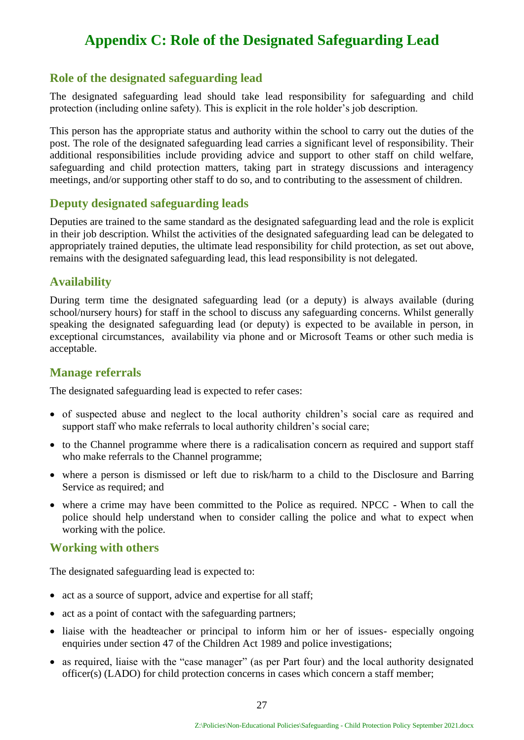# <span id="page-26-0"></span>**Appendix C: Role of the Designated Safeguarding Lead**

#### <span id="page-26-1"></span>**Role of the designated safeguarding lead**

The designated safeguarding lead should take lead responsibility for safeguarding and child protection (including online safety). This is explicit in the role holder's job description.

This person has the appropriate status and authority within the school to carry out the duties of the post. The role of the designated safeguarding lead carries a significant level of responsibility. Their additional responsibilities include providing advice and support to other staff on child welfare, safeguarding and child protection matters, taking part in strategy discussions and interagency meetings, and/or supporting other staff to do so, and to contributing to the assessment of children.

#### <span id="page-26-2"></span>**Deputy designated safeguarding leads**

Deputies are trained to the same standard as the designated safeguarding lead and the role is explicit in their job description. Whilst the activities of the designated safeguarding lead can be delegated to appropriately trained deputies, the ultimate lead responsibility for child protection, as set out above, remains with the designated safeguarding lead, this lead responsibility is not delegated.

#### <span id="page-26-3"></span>**Availability**

During term time the designated safeguarding lead (or a deputy) is always available (during school/nursery hours) for staff in the school to discuss any safeguarding concerns. Whilst generally speaking the designated safeguarding lead (or deputy) is expected to be available in person, in exceptional circumstances, availability via phone and or Microsoft Teams or other such media is acceptable.

#### <span id="page-26-4"></span>**Manage referrals**

The designated safeguarding lead is expected to refer cases:

- of suspected abuse and neglect to the local authority children's social care as required and support staff who make referrals to local authority children's social care;
- to the Channel programme where there is a radicalisation concern as required and support staff who make referrals to the Channel programme;
- where a person is dismissed or left due to risk/harm to a child to the Disclosure and Barring Service as required; and
- where a crime may have been committed to the Police as required. NPCC When to call the police should help understand when to consider calling the police and what to expect when working with the police.

#### **Working with others**

The designated safeguarding lead is expected to:

- act as a source of support, advice and expertise for all staff;
- act as a point of contact with the safeguarding partners;
- liaise with the headteacher or principal to inform him or her of issues- especially ongoing enquiries under section 47 of the Children Act 1989 and police investigations;
- as required, liaise with the "case manager" (as per Part four) and the local authority designated officer(s) (LADO) for child protection concerns in cases which concern a staff member;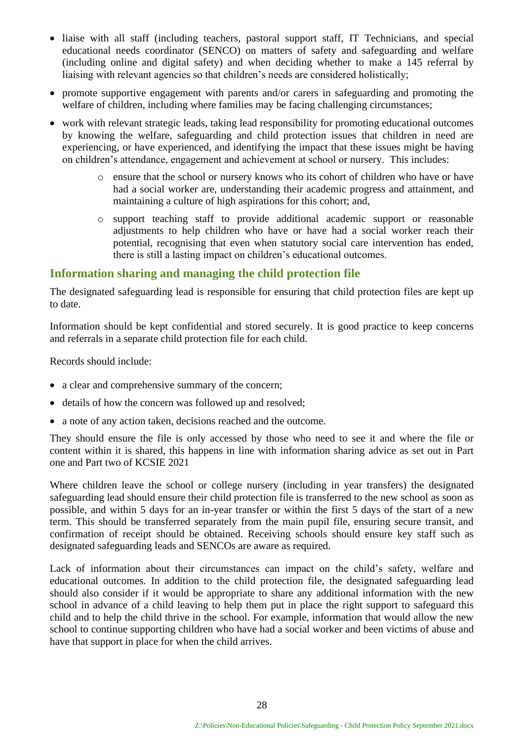- liaise with all staff (including teachers, pastoral support staff, IT Technicians, and special educational needs coordinator (SENCO) on matters of safety and safeguarding and welfare (including online and digital safety) and when deciding whether to make a 145 referral by liaising with relevant agencies so that children's needs are considered holistically;
- promote supportive engagement with parents and/or carers in safeguarding and promoting the welfare of children, including where families may be facing challenging circumstances;
- work with relevant strategic leads, taking lead responsibility for promoting educational outcomes by knowing the welfare, safeguarding and child protection issues that children in need are experiencing, or have experienced, and identifying the impact that these issues might be having on children's attendance, engagement and achievement at school or nursery. This includes:
	- o ensure that the school or nursery knows who its cohort of children who have or have had a social worker are, understanding their academic progress and attainment, and maintaining a culture of high aspirations for this cohort; and,
	- o support teaching staff to provide additional academic support or reasonable adjustments to help children who have or have had a social worker reach their potential, recognising that even when statutory social care intervention has ended, there is still a lasting impact on children's educational outcomes.

#### **Information sharing and managing the child protection file**

The designated safeguarding lead is responsible for ensuring that child protection files are kept up to date.

Information should be kept confidential and stored securely. It is good practice to keep concerns and referrals in a separate child protection file for each child.

Records should include:

- a clear and comprehensive summary of the concern;
- details of how the concern was followed up and resolved;
- a note of any action taken, decisions reached and the outcome.

They should ensure the file is only accessed by those who need to see it and where the file or content within it is shared, this happens in line with information sharing advice as set out in Part one and Part two of KCSIE 2021

Where children leave the school or college nursery (including in year transfers) the designated safeguarding lead should ensure their child protection file is transferred to the new school as soon as possible, and within 5 days for an in-year transfer or within the first 5 days of the start of a new term. This should be transferred separately from the main pupil file, ensuring secure transit, and confirmation of receipt should be obtained. Receiving schools should ensure key staff such as designated safeguarding leads and SENCOs are aware as required.

Lack of information about their circumstances can impact on the child's safety, welfare and educational outcomes. In addition to the child protection file, the designated safeguarding lead should also consider if it would be appropriate to share any additional information with the new school in advance of a child leaving to help them put in place the right support to safeguard this child and to help the child thrive in the school. For example, information that would allow the new school to continue supporting children who have had a social worker and been victims of abuse and have that support in place for when the child arrives.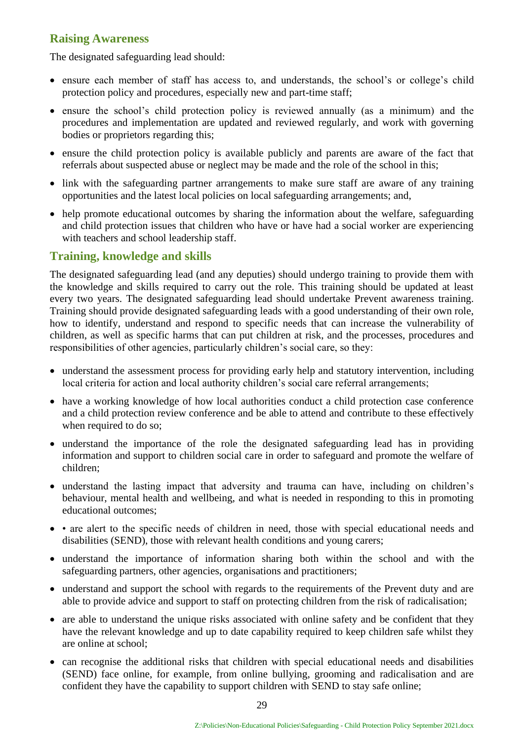#### **Raising Awareness**

The designated safeguarding lead should:

- ensure each member of staff has access to, and understands, the school's or college's child protection policy and procedures, especially new and part-time staff;
- ensure the school's child protection policy is reviewed annually (as a minimum) and the procedures and implementation are updated and reviewed regularly, and work with governing bodies or proprietors regarding this;
- ensure the child protection policy is available publicly and parents are aware of the fact that referrals about suspected abuse or neglect may be made and the role of the school in this;
- link with the safeguarding partner arrangements to make sure staff are aware of any training opportunities and the latest local policies on local safeguarding arrangements; and,
- help promote educational outcomes by sharing the information about the welfare, safeguarding and child protection issues that children who have or have had a social worker are experiencing with teachers and school leadership staff.

#### **Training, knowledge and skills**

The designated safeguarding lead (and any deputies) should undergo training to provide them with the knowledge and skills required to carry out the role. This training should be updated at least every two years. The designated safeguarding lead should undertake Prevent awareness training. Training should provide designated safeguarding leads with a good understanding of their own role, how to identify, understand and respond to specific needs that can increase the vulnerability of children, as well as specific harms that can put children at risk, and the processes, procedures and responsibilities of other agencies, particularly children's social care, so they:

- understand the assessment process for providing early help and statutory intervention, including local criteria for action and local authority children's social care referral arrangements;
- have a working knowledge of how local authorities conduct a child protection case conference and a child protection review conference and be able to attend and contribute to these effectively when required to do so;
- understand the importance of the role the designated safeguarding lead has in providing information and support to children social care in order to safeguard and promote the welfare of children;
- understand the lasting impact that adversity and trauma can have, including on children's behaviour, mental health and wellbeing, and what is needed in responding to this in promoting educational outcomes;
- • are alert to the specific needs of children in need, those with special educational needs and disabilities (SEND), those with relevant health conditions and young carers;
- understand the importance of information sharing both within the school and with the safeguarding partners, other agencies, organisations and practitioners;
- understand and support the school with regards to the requirements of the Prevent duty and are able to provide advice and support to staff on protecting children from the risk of radicalisation;
- are able to understand the unique risks associated with online safety and be confident that they have the relevant knowledge and up to date capability required to keep children safe whilst they are online at school;
- can recognise the additional risks that children with special educational needs and disabilities (SEND) face online, for example, from online bullying, grooming and radicalisation and are confident they have the capability to support children with SEND to stay safe online;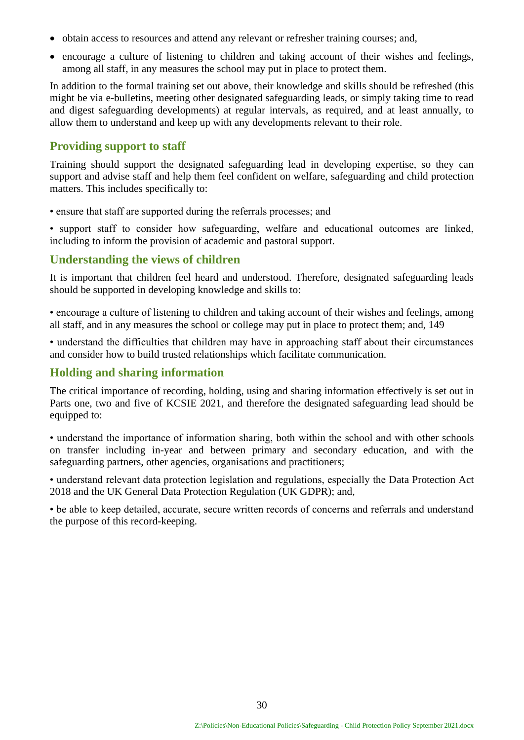- obtain access to resources and attend any relevant or refresher training courses; and,
- encourage a culture of listening to children and taking account of their wishes and feelings, among all staff, in any measures the school may put in place to protect them.

In addition to the formal training set out above, their knowledge and skills should be refreshed (this might be via e-bulletins, meeting other designated safeguarding leads, or simply taking time to read and digest safeguarding developments) at regular intervals, as required, and at least annually, to allow them to understand and keep up with any developments relevant to their role.

#### **Providing support to staff**

Training should support the designated safeguarding lead in developing expertise, so they can support and advise staff and help them feel confident on welfare, safeguarding and child protection matters. This includes specifically to:

• ensure that staff are supported during the referrals processes; and

• support staff to consider how safeguarding, welfare and educational outcomes are linked, including to inform the provision of academic and pastoral support.

#### **Understanding the views of children**

It is important that children feel heard and understood. Therefore, designated safeguarding leads should be supported in developing knowledge and skills to:

• encourage a culture of listening to children and taking account of their wishes and feelings, among all staff, and in any measures the school or college may put in place to protect them; and, 149

• understand the difficulties that children may have in approaching staff about their circumstances and consider how to build trusted relationships which facilitate communication.

#### **Holding and sharing information**

The critical importance of recording, holding, using and sharing information effectively is set out in Parts one, two and five of KCSIE 2021, and therefore the designated safeguarding lead should be equipped to:

• understand the importance of information sharing, both within the school and with other schools on transfer including in-year and between primary and secondary education, and with the safeguarding partners, other agencies, organisations and practitioners;

• understand relevant data protection legislation and regulations, especially the Data Protection Act 2018 and the UK General Data Protection Regulation (UK GDPR); and,

• be able to keep detailed, accurate, secure written records of concerns and referrals and understand the purpose of this record-keeping.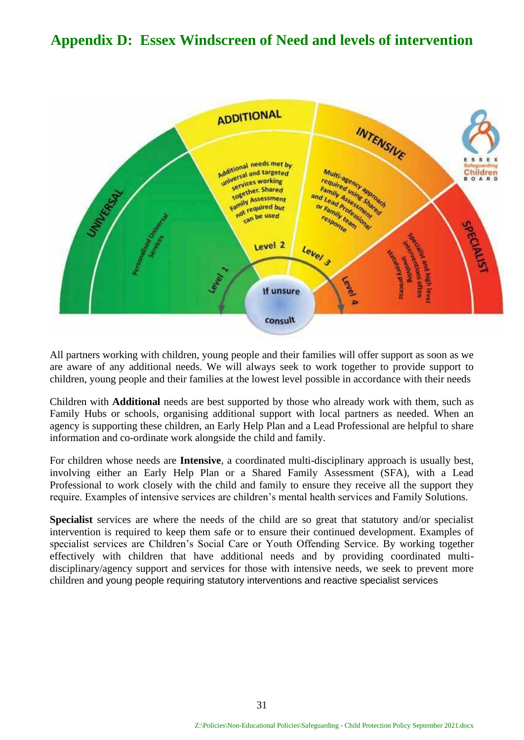## <span id="page-30-0"></span>**Appendix D: Essex Windscreen of Need and levels of intervention**



All partners working with children, young people and their families will offer support as soon as we are aware of any additional needs. We will always seek to work together to provide support to children, young people and their families at the lowest level possible in accordance with their needs

Children with **Additional** needs are best supported by those who already work with them, such as Family Hubs or schools, organising additional support with local partners as needed. When an agency is supporting these children, an Early Help Plan and a Lead Professional are helpful to share information and co-ordinate work alongside the child and family.

For children whose needs are **Intensive**, a coordinated multi-disciplinary approach is usually best, involving either an Early Help Plan or a Shared Family Assessment (SFA), with a Lead Professional to work closely with the child and family to ensure they receive all the support they require. Examples of intensive services are children's mental health services and Family Solutions.

**Specialist** services are where the needs of the child are so great that statutory and/or specialist intervention is required to keep them safe or to ensure their continued development. Examples of specialist services are Children's Social Care or Youth Offending Service. By working together effectively with children that have additional needs and by providing coordinated multidisciplinary/agency support and services for those with intensive needs, we seek to prevent more children and young people requiring statutory interventions and reactive specialist services